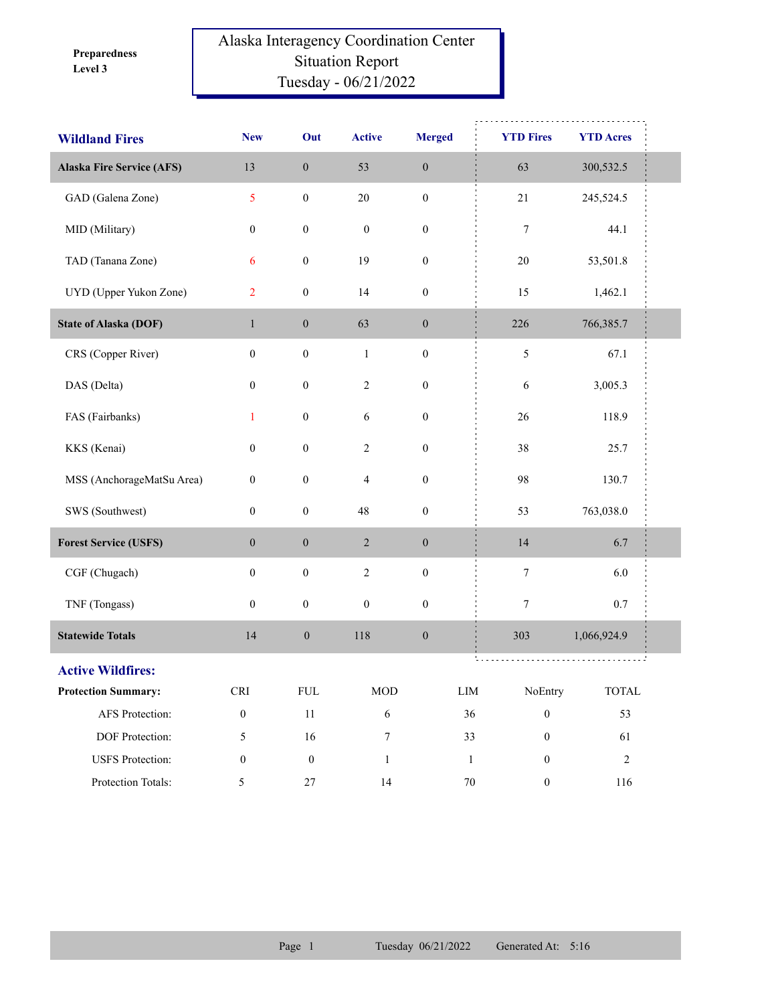**Level 3 Preparedness** 

## Alaska Interagency Coordination Center Situation Report Tuesday - 06/21/2022

| <b>Wildland Fires</b>            | <b>New</b>                  | Out              | <b>Active</b>    | <b>Merged</b>    | <b>YTD Fires</b>             | <b>YTD Acres</b>       |  |
|----------------------------------|-----------------------------|------------------|------------------|------------------|------------------------------|------------------------|--|
| <b>Alaska Fire Service (AFS)</b> | 13                          | $\boldsymbol{0}$ | 53               | $\boldsymbol{0}$ | 63                           | 300,532.5              |  |
| GAD (Galena Zone)                | 5                           | $\boldsymbol{0}$ | $20\,$           | $\boldsymbol{0}$ | 21                           | 245,524.5              |  |
| MID (Military)                   | $\boldsymbol{0}$            | $\boldsymbol{0}$ | $\boldsymbol{0}$ | $\boldsymbol{0}$ | $\boldsymbol{7}$             | 44.1                   |  |
| TAD (Tanana Zone)                | 6                           | $\boldsymbol{0}$ | 19               | $\boldsymbol{0}$ | $20\,$                       | 53,501.8               |  |
| UYD (Upper Yukon Zone)           | $\overline{2}$              | $\boldsymbol{0}$ | 14               | $\boldsymbol{0}$ | 15                           | 1,462.1                |  |
| <b>State of Alaska (DOF)</b>     | $\mathbf{1}$                | $\boldsymbol{0}$ | 63               | $\boldsymbol{0}$ | 226                          | 766,385.7              |  |
| CRS (Copper River)               | $\boldsymbol{0}$            | $\boldsymbol{0}$ | $\mathbf{1}$     | $\boldsymbol{0}$ | $\sqrt{5}$                   | 67.1                   |  |
| DAS (Delta)                      | $\boldsymbol{0}$            | $\boldsymbol{0}$ | $\overline{2}$   | $\boldsymbol{0}$ | 6                            | 3,005.3                |  |
| FAS (Fairbanks)                  | $\mathbf{1}$                | $\boldsymbol{0}$ | $\sqrt{6}$       | $\boldsymbol{0}$ | 26                           | 118.9                  |  |
| KKS (Kenai)                      | $\boldsymbol{0}$            | $\boldsymbol{0}$ | $\overline{2}$   | $\boldsymbol{0}$ | 38                           | 25.7                   |  |
| MSS (AnchorageMatSu Area)        | $\boldsymbol{0}$            | $\boldsymbol{0}$ | $\overline{4}$   | $\boldsymbol{0}$ | 98                           | 130.7                  |  |
| SWS (Southwest)                  | $\boldsymbol{0}$            | $\boldsymbol{0}$ | 48               | $\boldsymbol{0}$ | 53                           | 763,038.0              |  |
| <b>Forest Service (USFS)</b>     | $\boldsymbol{0}$            | $\boldsymbol{0}$ | $\sqrt{2}$       | $\boldsymbol{0}$ | 14                           | 6.7                    |  |
| CGF (Chugach)                    | $\boldsymbol{0}$            | $\boldsymbol{0}$ | $\sqrt{2}$       | $\boldsymbol{0}$ | $\boldsymbol{7}$             | 6.0                    |  |
| TNF (Tongass)                    | $\boldsymbol{0}$            | $\boldsymbol{0}$ | $\boldsymbol{0}$ | $\boldsymbol{0}$ | $\tau$                       | $0.7\,$                |  |
| <b>Statewide Totals</b>          | 14                          | $\boldsymbol{0}$ | 118              | $\boldsymbol{0}$ | 303                          | 1,066,924.9            |  |
| <b>Active Wildfires:</b>         |                             |                  |                  |                  | .                            |                        |  |
| <b>Protection Summary:</b>       | $\ensuremath{\mathsf{CRI}}$ | ${\rm FUL}$      | $\rm MOD$        |                  | ${\rm LIM}$<br>NoEntry       | $\operatorname{TOTAL}$ |  |
| AFS Protection:                  | $\boldsymbol{0}$            | $11\,$           | $\sqrt{6}$       |                  | 36<br>$\boldsymbol{0}$       | 53                     |  |
| DOF Protection:                  | $\mathfrak{H}$              | 16               | $\boldsymbol{7}$ |                  | 33<br>$\boldsymbol{0}$       | 61                     |  |
| <b>USFS</b> Protection:          | $\boldsymbol{0}$            | $\boldsymbol{0}$ | $\mathbf{1}$     |                  | $\mathbf{1}$<br>$\mathbf{0}$ | $\sqrt{2}$             |  |
| Protection Totals:               | $\mathfrak{S}$              | $27\,$           | $14\,$           |                  | $70\,$<br>$\boldsymbol{0}$   | 116                    |  |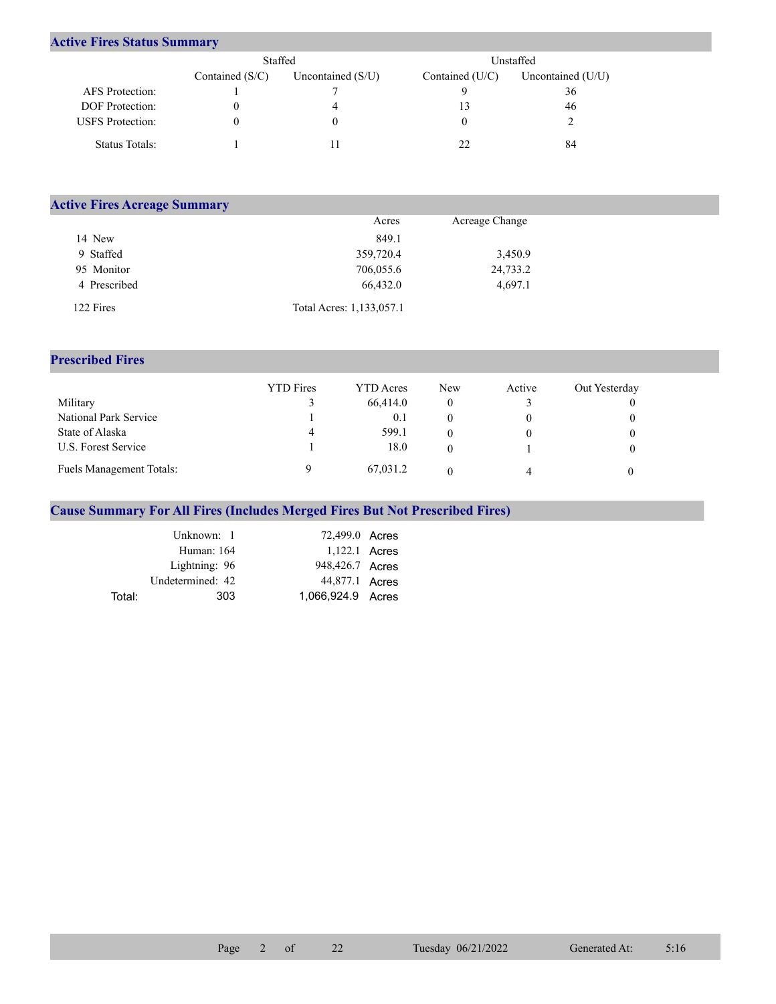## **Active Fires Status Summary**

|                         | Staffed           |                     | Unstaffed       |                     |  |  |
|-------------------------|-------------------|---------------------|-----------------|---------------------|--|--|
|                         | Contained $(S/C)$ | Uncontained $(S/U)$ | Contained (U/C) | Uncontained $(U/U)$ |  |  |
| AFS Protection:         |                   |                     |                 | 36                  |  |  |
| <b>DOF</b> Protection:  |                   |                     |                 | 46                  |  |  |
| <b>USFS</b> Protection: |                   |                     |                 |                     |  |  |
| Status Totals:          |                   |                     | つつ              | 84                  |  |  |

|              | <b>Active Fires Acreage Summary</b> |                |  |  |  |  |  |
|--------------|-------------------------------------|----------------|--|--|--|--|--|
|              | Acres                               | Acreage Change |  |  |  |  |  |
| 14 New       | 849.1                               |                |  |  |  |  |  |
| 9 Staffed    | 359,720.4                           | 3,450.9        |  |  |  |  |  |
| 95 Monitor   | 706,055.6                           | 24,733.2       |  |  |  |  |  |
| 4 Prescribed | 66,432.0                            | 4,697.1        |  |  |  |  |  |
| 122 Fires    | Total Acres: 1,133,057.1            |                |  |  |  |  |  |

## **Prescribed Fires**

|                                 | <b>YTD</b> Fires | YTD Acres | <b>New</b> | Active | Out Yesterday |
|---------------------------------|------------------|-----------|------------|--------|---------------|
| Military                        |                  | 66,414.0  |            |        |               |
| National Park Service           |                  | 0.1       |            |        |               |
| State of Alaska                 | 4                | 599.1     |            |        |               |
| U.S. Forest Service             |                  | 18.0      |            |        |               |
| <b>Fuels Management Totals:</b> |                  | 67,031.2  |            | 4      |               |

## **Cause Summary For All Fires (Includes Merged Fires But Not Prescribed Fires)**

|        | Unknown: 1       | 72,499.0 Acres    |  |
|--------|------------------|-------------------|--|
|        | Human: 164       | 1,122.1 Acres     |  |
|        | Lightning: 96    | 948,426.7 Acres   |  |
|        | Undetermined: 42 | 44,877.1 Acres    |  |
| Total: | 303              | 1,066,924.9 Acres |  |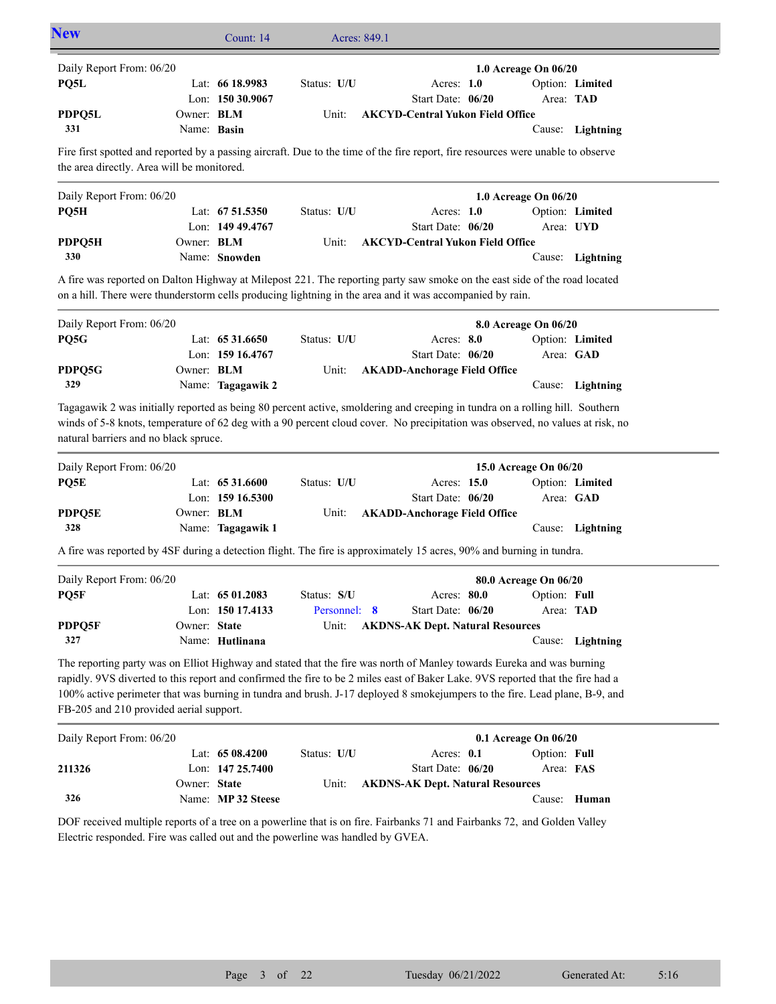| Daily Report From: 06/20                                          |                   |                    |              |                                                                                                                                                                                                                                                                                                                                                                                       | 1.0 Acreage On 06/20  |                  |
|-------------------------------------------------------------------|-------------------|--------------------|--------------|---------------------------------------------------------------------------------------------------------------------------------------------------------------------------------------------------------------------------------------------------------------------------------------------------------------------------------------------------------------------------------------|-----------------------|------------------|
| PQ5L                                                              |                   | Lat: 66 18.9983    | Status: U/U  | Acres: $1.0$                                                                                                                                                                                                                                                                                                                                                                          |                       | Option: Limited  |
|                                                                   |                   | Lon: 150 30.9067   |              | Start Date: 06/20                                                                                                                                                                                                                                                                                                                                                                     |                       | Area: TAD        |
| PDPQ5L                                                            | Owner: <b>BLM</b> |                    | Unit:        | <b>AKCYD-Central Yukon Field Office</b>                                                                                                                                                                                                                                                                                                                                               |                       |                  |
| 331                                                               | Name: Basin       |                    |              |                                                                                                                                                                                                                                                                                                                                                                                       |                       | Cause: Lightning |
| the area directly. Area will be monitored.                        |                   |                    |              | Fire first spotted and reported by a passing aircraft. Due to the time of the fire report, fire resources were unable to observe                                                                                                                                                                                                                                                      |                       |                  |
| Daily Report From: 06/20                                          |                   |                    |              |                                                                                                                                                                                                                                                                                                                                                                                       | 1.0 Acreage On 06/20  |                  |
| PQ5H                                                              |                   | Lat: $6751.5350$   | Status: U/U  | Acres: $1.0$                                                                                                                                                                                                                                                                                                                                                                          |                       | Option: Limited  |
|                                                                   |                   | Lon: 149 49.4767   |              | Start Date: 06/20                                                                                                                                                                                                                                                                                                                                                                     |                       | Area: UYD        |
| PDPQ5H                                                            | Owner: BLM        |                    | Unit:        | <b>AKCYD-Central Yukon Field Office</b>                                                                                                                                                                                                                                                                                                                                               |                       |                  |
| 330                                                               |                   | Name: Snowden      |              |                                                                                                                                                                                                                                                                                                                                                                                       |                       | Cause: Lightning |
|                                                                   |                   |                    |              | A fire was reported on Dalton Highway at Milepost 221. The reporting party saw smoke on the east side of the road located<br>on a hill. There were thunderstorm cells producing lightning in the area and it was accompanied by rain.                                                                                                                                                 |                       |                  |
| Daily Report From: 06/20                                          |                   |                    |              |                                                                                                                                                                                                                                                                                                                                                                                       | 8.0 Acreage On 06/20  |                  |
| PQ5G                                                              |                   | Lat: $6531.6650$   | Status: U/U  | Acres: 8.0                                                                                                                                                                                                                                                                                                                                                                            |                       | Option: Limited  |
|                                                                   |                   | Lon: 159 16.4767   |              | Start Date: 06/20                                                                                                                                                                                                                                                                                                                                                                     |                       | Area: GAD        |
| PDPQ5G                                                            | Owner: <b>BLM</b> |                    | Unit:        | <b>AKADD-Anchorage Field Office</b>                                                                                                                                                                                                                                                                                                                                                   |                       |                  |
| 329                                                               |                   | Name: Tagagawik 2  |              |                                                                                                                                                                                                                                                                                                                                                                                       |                       | Cause: Lightning |
| natural barriers and no black spruce.<br>Daily Report From: 06/20 |                   |                    |              | winds of 5-8 knots, temperature of 62 deg with a 90 percent cloud cover. No precipitation was observed, no values at risk, no                                                                                                                                                                                                                                                         | 15.0 Acreage On 06/20 |                  |
| PQ5E                                                              |                   | Lat: 65 31.6600    | Status: U/U  | Acres: 15.0                                                                                                                                                                                                                                                                                                                                                                           |                       | Option: Limited  |
|                                                                   |                   | Lon: 159 16.5300   |              | Start Date: 06/20                                                                                                                                                                                                                                                                                                                                                                     |                       | Area: GAD        |
| PDPQ5E                                                            | Owner: BLM        |                    | Unit:        | <b>AKADD-Anchorage Field Office</b>                                                                                                                                                                                                                                                                                                                                                   |                       |                  |
| 328                                                               |                   | Name: Tagagawik 1  |              |                                                                                                                                                                                                                                                                                                                                                                                       |                       | Cause: Lightning |
|                                                                   |                   |                    |              | A fire was reported by 4SF during a detection flight. The fire is approximately 15 acres, 90% and burning in tundra.                                                                                                                                                                                                                                                                  |                       |                  |
| Daily Report From: 06/20                                          |                   |                    |              |                                                                                                                                                                                                                                                                                                                                                                                       | 80.0 Acreage On 06/20 |                  |
| PQ5F                                                              |                   | Lat: 65 01.2083    | Status: S/U  | Acres: 80.0 Option: Full                                                                                                                                                                                                                                                                                                                                                              |                       |                  |
|                                                                   |                   | Lon: 150 17.4133   | Personnel: 8 | Start Date: 06/20                                                                                                                                                                                                                                                                                                                                                                     | Area: TAD             |                  |
| PDPQ5F                                                            | Owner: State      |                    | Unit:        | <b>AKDNS-AK Dept. Natural Resources</b>                                                                                                                                                                                                                                                                                                                                               |                       |                  |
| 327                                                               |                   | Name: Hutlinana    |              |                                                                                                                                                                                                                                                                                                                                                                                       |                       | Cause: Lightning |
|                                                                   |                   |                    |              | The reporting party was on Elliot Highway and stated that the fire was north of Manley towards Eureka and was burning<br>rapidly. 9VS diverted to this report and confirmed the fire to be 2 miles east of Baker Lake. 9VS reported that the fire had a<br>100% active perimeter that was burning in tundra and brush. J-17 deployed 8 smokejumpers to the fire. Lead plane, B-9, and |                       |                  |
| FB-205 and 210 provided aerial support.                           |                   |                    |              |                                                                                                                                                                                                                                                                                                                                                                                       | 0.1 Acreage On 06/20  |                  |
|                                                                   |                   |                    |              |                                                                                                                                                                                                                                                                                                                                                                                       | Option: Full          |                  |
|                                                                   |                   | Lat: 65 08.4200    | Status: U/U  | Acres: 0.1                                                                                                                                                                                                                                                                                                                                                                            |                       |                  |
|                                                                   |                   | Lon: 147 25.7400   |              | Start Date: 06/20                                                                                                                                                                                                                                                                                                                                                                     | Area: FAS             |                  |
|                                                                   | Owner: State      |                    | Unit:        | <b>AKDNS-AK Dept. Natural Resources</b>                                                                                                                                                                                                                                                                                                                                               |                       |                  |
| Daily Report From: 06/20<br>211326<br>326                         |                   | Name: MP 32 Steese |              | DOF received multiple reports of a tree on a powerline that is on fire. Fairbanks 71 and Fairbanks 72, and Golden Valley                                                                                                                                                                                                                                                              |                       | Cause: Human     |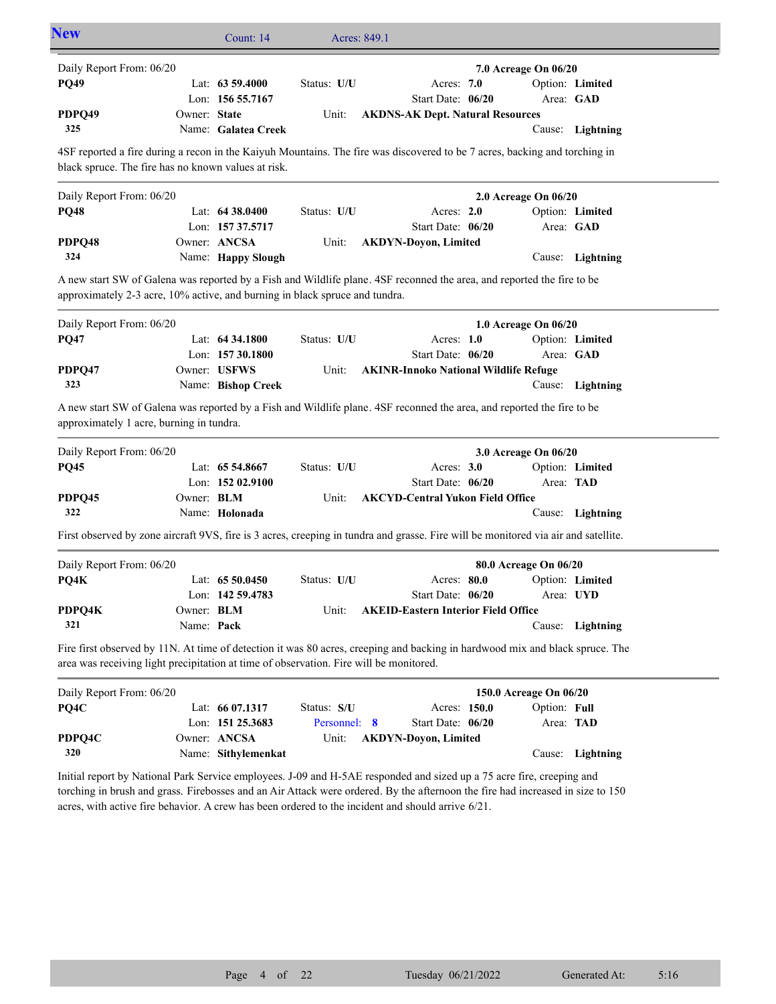| <b>New</b>                                                                                                                                                                                                                                                                                                                                                   |              | Count: 14           |              | Acres: 849.1                                 |                        |              |                  |
|--------------------------------------------------------------------------------------------------------------------------------------------------------------------------------------------------------------------------------------------------------------------------------------------------------------------------------------------------------------|--------------|---------------------|--------------|----------------------------------------------|------------------------|--------------|------------------|
| Daily Report From: 06/20                                                                                                                                                                                                                                                                                                                                     |              |                     |              |                                              | 7.0 Acreage On 06/20   |              |                  |
| <b>PQ49</b>                                                                                                                                                                                                                                                                                                                                                  |              | Lat: 63 59.4000     | Status: U/U  | Acres: 7.0                                   |                        |              | Option: Limited  |
|                                                                                                                                                                                                                                                                                                                                                              |              | Lon: 156 55.7167    |              | Start Date: 06/20                            |                        | Area: GAD    |                  |
| PDPQ49                                                                                                                                                                                                                                                                                                                                                       | Owner: State |                     | Unit:        | <b>AKDNS-AK Dept. Natural Resources</b>      |                        |              |                  |
| 325                                                                                                                                                                                                                                                                                                                                                          |              | Name: Galatea Creek |              |                                              |                        |              | Cause: Lightning |
| 4SF reported a fire during a recon in the Kaiyuh Mountains. The fire was discovered to be 7 acres, backing and torching in<br>black spruce. The fire has no known values at risk.                                                                                                                                                                            |              |                     |              |                                              |                        |              |                  |
| Daily Report From: 06/20                                                                                                                                                                                                                                                                                                                                     |              |                     |              |                                              | 2.0 Acreage On 06/20   |              |                  |
| <b>PQ48</b>                                                                                                                                                                                                                                                                                                                                                  |              | Lat: 64 38.0400     | Status: U/U  | Acres: 2.0                                   |                        |              | Option: Limited  |
|                                                                                                                                                                                                                                                                                                                                                              |              | Lon: 157 37.5717    |              | Start Date: 06/20                            |                        | Area: GAD    |                  |
| PDPQ48                                                                                                                                                                                                                                                                                                                                                       |              | Owner: ANCSA        | Unit:        | <b>AKDYN-Doyon, Limited</b>                  |                        |              |                  |
| 324                                                                                                                                                                                                                                                                                                                                                          |              | Name: Happy Slough  |              |                                              |                        |              | Cause: Lightning |
| A new start SW of Galena was reported by a Fish and Wildlife plane. 4SF reconned the area, and reported the fire to be<br>approximately 2-3 acre, 10% active, and burning in black spruce and tundra.                                                                                                                                                        |              |                     |              |                                              |                        |              |                  |
| Daily Report From: 06/20                                                                                                                                                                                                                                                                                                                                     |              |                     |              |                                              | 1.0 Acreage On 06/20   |              |                  |
| <b>PQ47</b>                                                                                                                                                                                                                                                                                                                                                  |              | Lat: 64 34.1800     | Status: U/U  | Acres: $1.0$                                 |                        |              | Option: Limited  |
|                                                                                                                                                                                                                                                                                                                                                              |              | Lon: 157 30.1800    |              | Start Date: 06/20                            |                        | Area: GAD    |                  |
| PDPQ47                                                                                                                                                                                                                                                                                                                                                       |              | Owner: USFWS        | Unit:        | <b>AKINR-Innoko National Wildlife Refuge</b> |                        |              |                  |
| 323                                                                                                                                                                                                                                                                                                                                                          |              | Name: Bishop Creek  |              |                                              |                        |              | Cause: Lightning |
| A new start SW of Galena was reported by a Fish and Wildlife plane. 4SF reconned the area, and reported the fire to be<br>approximately 1 acre, burning in tundra.                                                                                                                                                                                           |              |                     |              |                                              |                        |              |                  |
| Daily Report From: 06/20                                                                                                                                                                                                                                                                                                                                     |              |                     |              |                                              | 3.0 Acreage On 06/20   |              |                  |
| <b>PQ45</b>                                                                                                                                                                                                                                                                                                                                                  |              | Lat: 65 54.8667     | Status: U/U  | Acres: $3.0$                                 |                        |              | Option: Limited  |
|                                                                                                                                                                                                                                                                                                                                                              |              | Lon: 152 02.9100    |              | Start Date: 06/20                            |                        | Area: TAD    |                  |
| PDPQ45                                                                                                                                                                                                                                                                                                                                                       | Owner: BLM   |                     | Unit:        | <b>AKCYD-Central Yukon Field Office</b>      |                        |              |                  |
| 322                                                                                                                                                                                                                                                                                                                                                          |              | Name: Holonada      |              |                                              |                        |              | Cause: Lightning |
| First observed by zone aircraft 9VS, fire is 3 acres, creeping in tundra and grasse. Fire will be monitored via air and satellite.                                                                                                                                                                                                                           |              |                     |              |                                              |                        |              |                  |
| Daily Report From: 06/20                                                                                                                                                                                                                                                                                                                                     |              |                     |              |                                              | 80.0 Acreage On 06/20  |              |                  |
| PQ4K                                                                                                                                                                                                                                                                                                                                                         |              | Lat: $6550.0450$    | Status: U/U  | Acres: 80.0                                  |                        |              | Option: Limited  |
|                                                                                                                                                                                                                                                                                                                                                              |              | Lon: 142 59.4783    |              | Start Date: 06/20                            |                        | Area: UYD    |                  |
| PDPQ4K                                                                                                                                                                                                                                                                                                                                                       | Owner: BLM   |                     | Unit:        | <b>AKEID-Eastern Interior Field Office</b>   |                        |              |                  |
| 321                                                                                                                                                                                                                                                                                                                                                          | Name: Pack   |                     |              |                                              |                        |              | Cause: Lightning |
| Fire first observed by 11N. At time of detection it was 80 acres, creeping and backing in hardwood mix and black spruce. The<br>area was receiving light precipitation at time of observation. Fire will be monitored.                                                                                                                                       |              |                     |              |                                              |                        |              |                  |
| Daily Report From: 06/20                                                                                                                                                                                                                                                                                                                                     |              |                     |              |                                              | 150.0 Acreage On 06/20 |              |                  |
| PQ4C                                                                                                                                                                                                                                                                                                                                                         |              | Lat: 66 07.1317     | Status: S/U  | Acres: 150.0                                 |                        | Option: Full |                  |
|                                                                                                                                                                                                                                                                                                                                                              |              | Lon: 151 25.3683    | Personnel: 8 | Start Date: 06/20                            |                        | Area: TAD    |                  |
| PDPQ4C                                                                                                                                                                                                                                                                                                                                                       |              | Owner: ANCSA        | Unit:        | <b>AKDYN-Doyon, Limited</b>                  |                        |              |                  |
| 320                                                                                                                                                                                                                                                                                                                                                          |              | Name: Sithylemenkat |              |                                              |                        |              | Cause: Lightning |
| Initial report by National Park Service employees. J-09 and H-5AE responded and sized up a 75 acre fire, creeping and<br>torching in brush and grass. Firebosses and an Air Attack were ordered. By the afternoon the fire had increased in size to 150<br>acres, with active fire behavior. A crew has been ordered to the incident and should arrive 6/21. |              |                     |              |                                              |                        |              |                  |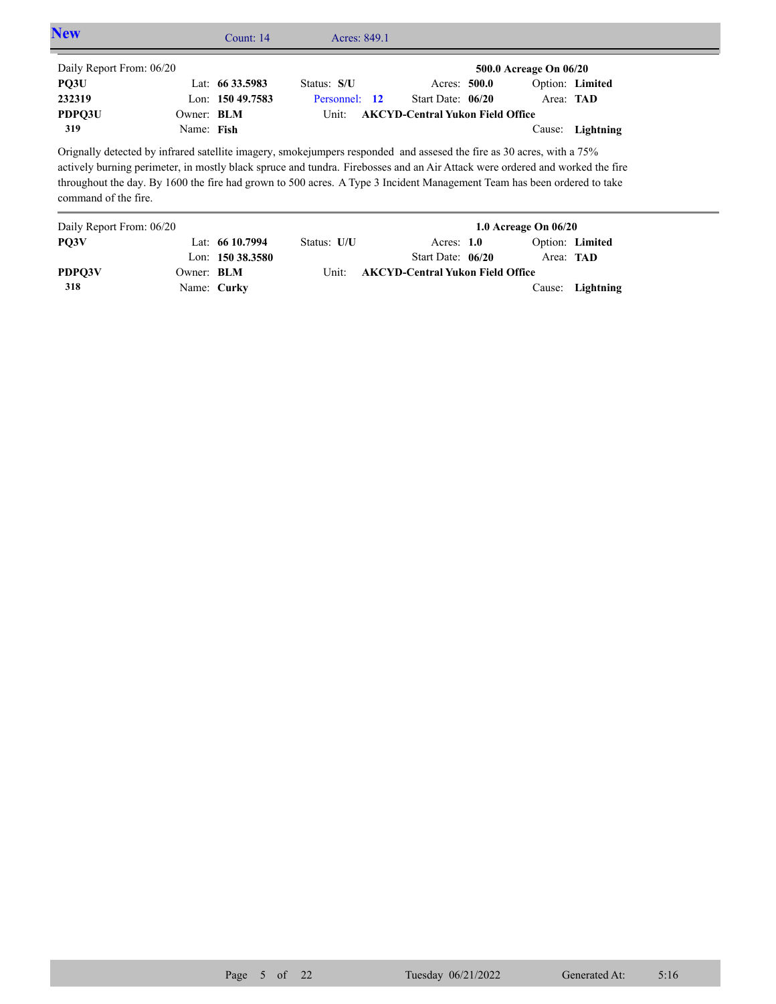| <b>New</b>               |            | Count: $14$       | Acres: 849.1  |                                                                                                                                                                                                                                                                                                                                                                                  |                  |                 |
|--------------------------|------------|-------------------|---------------|----------------------------------------------------------------------------------------------------------------------------------------------------------------------------------------------------------------------------------------------------------------------------------------------------------------------------------------------------------------------------------|------------------|-----------------|
| Daily Report From: 06/20 |            |                   |               | 500.0 Acreage On 06/20                                                                                                                                                                                                                                                                                                                                                           |                  |                 |
| PQ3U                     |            | Lat: $6633.5983$  | Status: S/U   | Acres: 500.0                                                                                                                                                                                                                                                                                                                                                                     |                  | Option: Limited |
| 232319                   |            | Lon: $15049.7583$ | Personnel: 12 | Start Date: $06/20$                                                                                                                                                                                                                                                                                                                                                              | Area: <b>TAD</b> |                 |
| PDPO3U                   | Owner: BLM |                   | Unit:         | <b>AKCYD-Central Yukon Field Office</b>                                                                                                                                                                                                                                                                                                                                          |                  |                 |
| 319                      | Name: Fish |                   |               |                                                                                                                                                                                                                                                                                                                                                                                  | Cause:           | Lightning       |
| command of the fire.     |            |                   |               | Orignally detected by infrared satellite imagery, smokejumpers responded and assesed the fire as 30 acres, with a 75%<br>actively burning perimeter, in mostly black spruce and tundra. Firebosses and an Air Attack were ordered and worked the fire<br>throughout the day. By 1600 the fire had grown to 500 acres. A Type 3 Incident Management Team has been ordered to take |                  |                 |

| Daily Report From: 06/20 |                   |                     | 1.0 Acreage On $06/20$ |                                         |  |                  |                  |  |
|--------------------------|-------------------|---------------------|------------------------|-----------------------------------------|--|------------------|------------------|--|
| PO3V                     |                   | Lat: $6610.7994$    | Status: U/U            | Acres: $1.0$                            |  |                  | Option: Limited  |  |
|                          |                   | Lon: $150\,38.3580$ |                        | Start Date: 06/20                       |  | Area: <b>TAD</b> |                  |  |
| PDPO3V                   | Owner: <b>BLM</b> |                     | Unit:                  | <b>AKCYD-Central Yukon Field Office</b> |  |                  |                  |  |
| 318                      | Name: Curky       |                     |                        |                                         |  |                  | Cause: Lightning |  |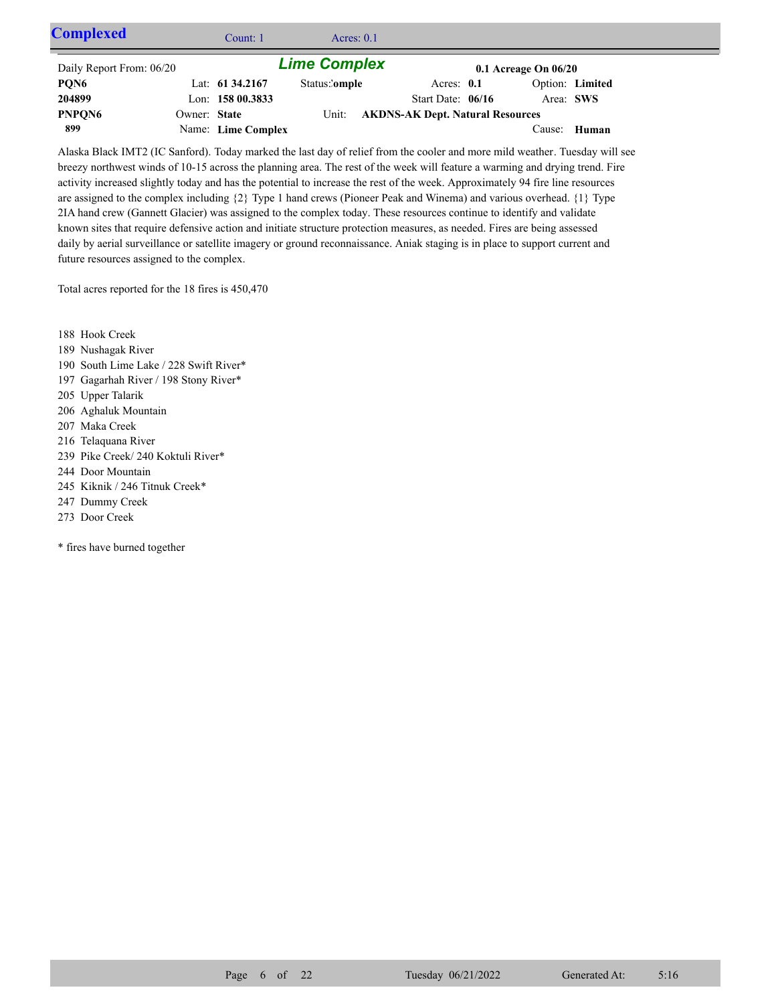| <b>Complexed</b>         |              | Count: 1           | Acres: $0.1$        |                                         |                          |                 |  |
|--------------------------|--------------|--------------------|---------------------|-----------------------------------------|--------------------------|-----------------|--|
| Daily Report From: 06/20 |              |                    | <b>Lime Complex</b> |                                         | $0.1$ Acreage On $06/20$ |                 |  |
| PQN6                     |              | Lat: 61 34.2167    | Status:'omple       | Acres: $0.1$                            |                          | Option: Limited |  |
| 204899                   |              | Lon: $15800.3833$  |                     | Start Date: $06/16$                     | Area: SWS                |                 |  |
| PNPQN6                   | Owner: State |                    | Unit:               | <b>AKDNS-AK Dept. Natural Resources</b> |                          |                 |  |
| 899                      |              | Name: Lime Complex |                     |                                         |                          | Cause: Human    |  |

Alaska Black IMT2 (IC Sanford). Today marked the last day of relief from the cooler and more mild weather. Tuesday will see breezy northwest winds of 10-15 across the planning area. The rest of the week will feature a warming and drying trend. Fire activity increased slightly today and has the potential to increase the rest of the week. Approximately 94 fire line resources are assigned to the complex including {2} Type 1 hand crews (Pioneer Peak and Winema) and various overhead. {1} Type 2IA hand crew (Gannett Glacier) was assigned to the complex today. These resources continue to identify and validate known sites that require defensive action and initiate structure protection measures, as needed. Fires are being assessed daily by aerial surveillance or satellite imagery or ground reconnaissance. Aniak staging is in place to support current and future resources assigned to the complex.

Total acres reported for the 18 fires is 450,470

188 Hook Creek

- 189 Nushagak River
- 190 South Lime Lake / 228 Swift River\*
- 197 Gagarhah River / 198 Stony River\*
- 205 Upper Talarik
- 206 Aghaluk Mountain
- 207 Maka Creek
- 216 Telaquana River
- 239 Pike Creek/ 240 Koktuli River\*
- 244 Door Mountain
- 245 Kiknik / 246 Titnuk Creek\*
- 247 Dummy Creek
- 273 Door Creek

\* fires have burned together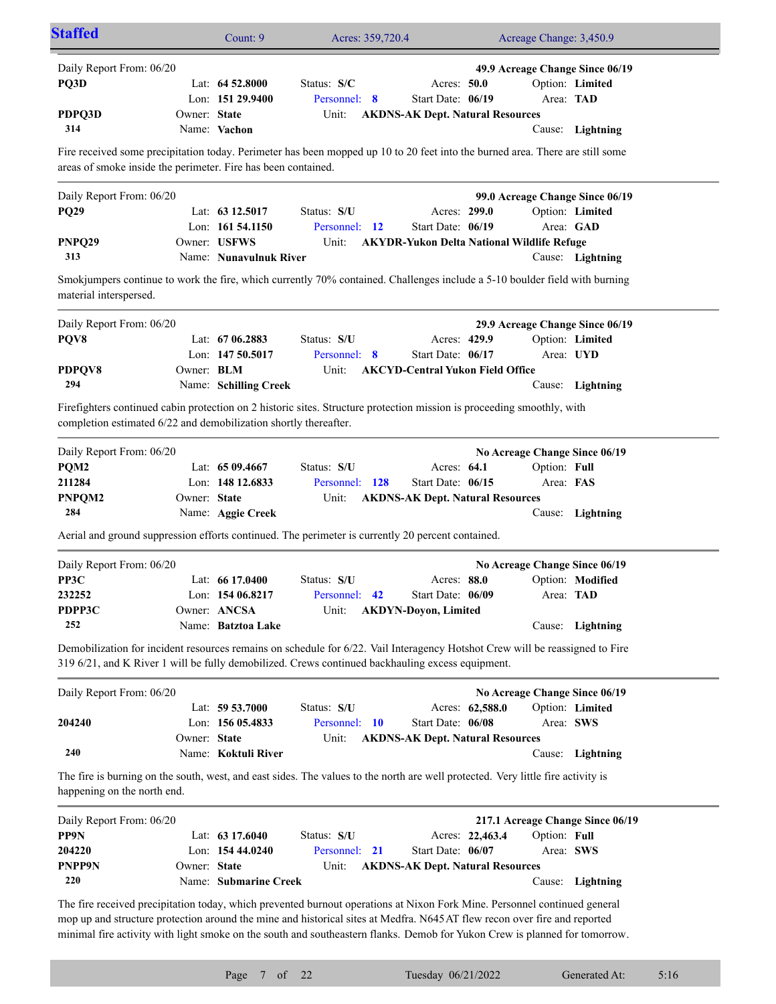| <b>Staffed</b>                                                                                                                                                                                                                   |              | Count: 9               |                | Acres: 359,720.4 |                                         |                 | Acreage Change: 3,450.9                           |                                  |
|----------------------------------------------------------------------------------------------------------------------------------------------------------------------------------------------------------------------------------|--------------|------------------------|----------------|------------------|-----------------------------------------|-----------------|---------------------------------------------------|----------------------------------|
| Daily Report From: 06/20                                                                                                                                                                                                         |              |                        |                |                  |                                         |                 | 49.9 Acreage Change Since 06/19                   |                                  |
| PQ3D                                                                                                                                                                                                                             |              | Lat: $64\,52.8000$     | Status: S/C    |                  | Acres: 50.0                             |                 |                                                   | Option: Limited                  |
|                                                                                                                                                                                                                                  |              | Lon: 151 29.9400       | Personnel: 8   |                  | Start Date: 06/19                       |                 | Area: TAD                                         |                                  |
| PDPQ3D                                                                                                                                                                                                                           | Owner: State |                        | Unit:          |                  | <b>AKDNS-AK Dept. Natural Resources</b> |                 |                                                   |                                  |
| 314                                                                                                                                                                                                                              |              | Name: Vachon           |                |                  |                                         |                 |                                                   | Cause: Lightning                 |
| Fire received some precipitation today. Perimeter has been mopped up 10 to 20 feet into the burned area. There are still some<br>areas of smoke inside the perimeter. Fire has been contained.                                   |              |                        |                |                  |                                         |                 |                                                   |                                  |
|                                                                                                                                                                                                                                  |              |                        |                |                  |                                         |                 |                                                   |                                  |
| Daily Report From: 06/20                                                                                                                                                                                                         |              |                        |                |                  |                                         |                 |                                                   | 99.0 Acreage Change Since 06/19  |
| <b>PQ29</b>                                                                                                                                                                                                                      |              | Lat: 63 12.5017        | Status: S/U    |                  | Acres: 299.0                            |                 |                                                   | Option: Limited                  |
|                                                                                                                                                                                                                                  |              | Lon: 161 54.1150       | Personnel: 12  |                  | Start Date: 06/19                       |                 |                                                   | Area: GAD                        |
| PNPQ29                                                                                                                                                                                                                           |              | Owner: USFWS           | Unit:          |                  |                                         |                 | <b>AKYDR-Yukon Delta National Wildlife Refuge</b> |                                  |
| 313                                                                                                                                                                                                                              |              | Name: Nunavulnuk River |                |                  |                                         |                 |                                                   | Cause: Lightning                 |
| Smokjumpers continue to work the fire, which currently 70% contained. Challenges include a 5-10 boulder field with burning<br>material interspersed.                                                                             |              |                        |                |                  |                                         |                 |                                                   |                                  |
| Daily Report From: 06/20                                                                                                                                                                                                         |              |                        |                |                  |                                         |                 | 29.9 Acreage Change Since 06/19                   |                                  |
| PQV8                                                                                                                                                                                                                             |              | Lat: $6706.2883$       | Status: S/U    |                  | Acres: 429.9                            |                 |                                                   | Option: Limited                  |
|                                                                                                                                                                                                                                  |              | Lon: 147 50.5017       | Personnel: 8   |                  | Start Date: 06/17                       |                 |                                                   | Area: UYD                        |
| PDPQV8                                                                                                                                                                                                                           | Owner: BLM   |                        | Unit:          |                  | <b>AKCYD-Central Yukon Field Office</b> |                 |                                                   |                                  |
| 294                                                                                                                                                                                                                              |              | Name: Schilling Creek  |                |                  |                                         |                 |                                                   | Cause: Lightning                 |
|                                                                                                                                                                                                                                  |              |                        |                |                  |                                         |                 |                                                   |                                  |
| Firefighters continued cabin protection on 2 historic sites. Structure protection mission is proceeding smoothly, with<br>completion estimated 6/22 and demobilization shortly thereafter.                                       |              |                        |                |                  |                                         |                 |                                                   |                                  |
| Daily Report From: 06/20                                                                                                                                                                                                         |              |                        |                |                  |                                         |                 | No Acreage Change Since 06/19                     |                                  |
| PQM2                                                                                                                                                                                                                             |              | Lat: $6509.4667$       | Status: S/U    |                  | Acres: 64.1                             |                 | Option: Full                                      |                                  |
| 211284                                                                                                                                                                                                                           |              | Lon: 148 12.6833       | Personnel: 128 |                  | Start Date: 06/15                       |                 | Area: FAS                                         |                                  |
| PNPQM2                                                                                                                                                                                                                           | Owner: State |                        | Unit:          |                  | <b>AKDNS-AK Dept. Natural Resources</b> |                 |                                                   |                                  |
| 284                                                                                                                                                                                                                              |              | Name: Aggie Creek      |                |                  |                                         |                 |                                                   | Cause: Lightning                 |
|                                                                                                                                                                                                                                  |              |                        |                |                  |                                         |                 |                                                   |                                  |
| Aerial and ground suppression efforts continued. The perimeter is currently 20 percent contained.                                                                                                                                |              |                        |                |                  |                                         |                 |                                                   |                                  |
| Daily Report From: 06/20                                                                                                                                                                                                         |              |                        |                |                  |                                         |                 | No Acreage Change Since 06/19                     |                                  |
| PP3C                                                                                                                                                                                                                             |              | Lat: $6617.0400$       | Status: S/U    |                  | Acres: 88.0                             |                 |                                                   | Option: Modified                 |
| 232252                                                                                                                                                                                                                           |              | Lon: 154 06.8217       | Personnel: 42  |                  | Start Date: 06/09                       |                 | Area: TAD                                         |                                  |
| PDPP3C                                                                                                                                                                                                                           |              | Owner: ANCSA           | Unit:          |                  | <b>AKDYN-Doyon, Limited</b>             |                 |                                                   |                                  |
| 252                                                                                                                                                                                                                              |              | Name: Batztoa Lake     |                |                  |                                         |                 |                                                   | Cause: Lightning                 |
| Demobilization for incident resources remains on schedule for 6/22. Vail Interagency Hotshot Crew will be reassigned to Fire<br>319 6/21, and K River 1 will be fully demobilized. Crews continued backhauling excess equipment. |              |                        |                |                  |                                         |                 |                                                   |                                  |
| Daily Report From: 06/20                                                                                                                                                                                                         |              |                        |                |                  |                                         |                 | No Acreage Change Since 06/19                     |                                  |
|                                                                                                                                                                                                                                  |              | Lat: 59 53.7000        | Status: S/U    |                  |                                         | Acres: 62,588.0 |                                                   | Option: Limited                  |
| 204240                                                                                                                                                                                                                           |              | Lon: 156 05.4833       | Personnel: 10  |                  | Start Date: 06/08                       |                 |                                                   | Area: SWS                        |
|                                                                                                                                                                                                                                  | Owner: State |                        | Unit:          |                  | <b>AKDNS-AK Dept. Natural Resources</b> |                 |                                                   |                                  |
| 240                                                                                                                                                                                                                              |              | Name: Koktuli River    |                |                  |                                         |                 |                                                   | Cause: Lightning                 |
| The fire is burning on the south, west, and east sides. The values to the north are well protected. Very little fire activity is<br>happening on the north end.                                                                  |              |                        |                |                  |                                         |                 |                                                   |                                  |
| Daily Report From: 06/20                                                                                                                                                                                                         |              |                        |                |                  |                                         |                 |                                                   | 217.1 Acreage Change Since 06/19 |
| PP9N                                                                                                                                                                                                                             |              | Lat: 63 17.6040        | Status: S/U    |                  |                                         | Acres: 22,463.4 | Option: Full                                      |                                  |
| 204220                                                                                                                                                                                                                           |              | Lon: 154 44.0240       | Personnel: 21  |                  | Start Date: 06/07                       |                 | Area: SWS                                         |                                  |
| <b>PNPP9N</b>                                                                                                                                                                                                                    | Owner: State |                        | Unit:          |                  | <b>AKDNS-AK Dept. Natural Resources</b> |                 |                                                   |                                  |
| 220                                                                                                                                                                                                                              |              | Name: Submarine Creek  |                |                  |                                         |                 |                                                   | Cause: Lightning                 |
|                                                                                                                                                                                                                                  |              |                        |                |                  |                                         |                 |                                                   |                                  |
| The fire received precipitation today, which prevented burnout operations at Nixon Fork Mine. Personnel continued general                                                                                                        |              |                        |                |                  |                                         |                 |                                                   |                                  |
| mop up and structure protection around the mine and historical sites at Medfra. N645 AT flew recon over fire and reported                                                                                                        |              |                        |                |                  |                                         |                 |                                                   |                                  |
| minimal fire activity with light smoke on the south and southeastern flanks. Demob for Yukon Crew is planned for tomorrow.                                                                                                       |              |                        |                |                  |                                         |                 |                                                   |                                  |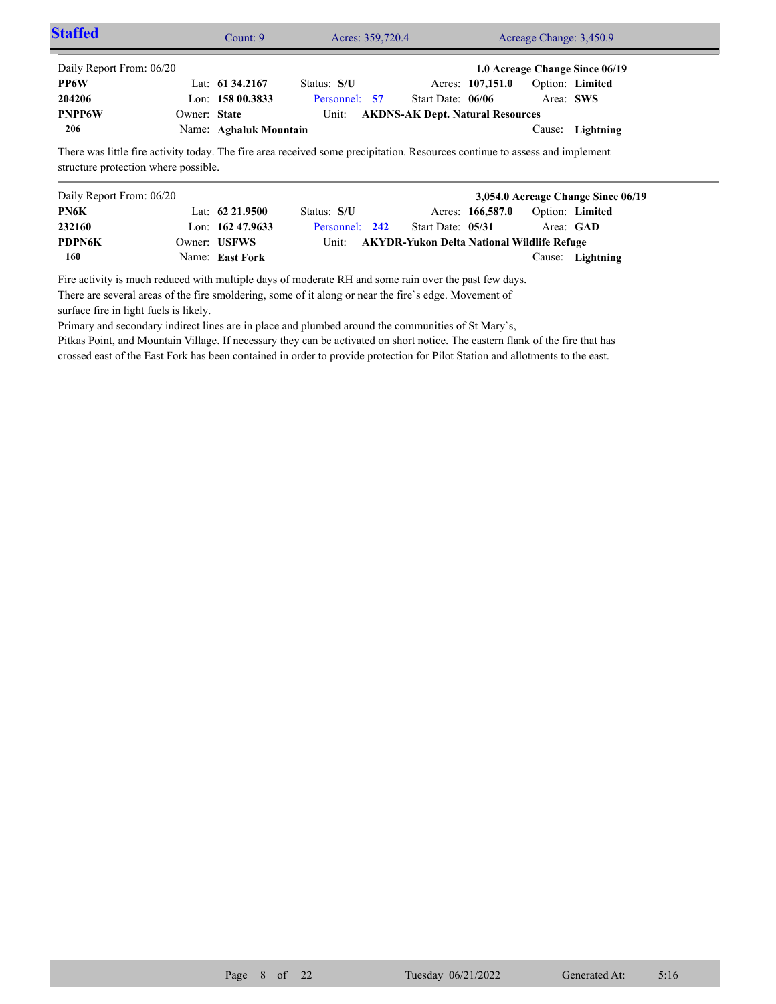| <b>Staffed</b>                                                                                                              |              | Count: 9               |               | Acres: 359,720.4 | Acreage Change: 3,450.9 |                                         |           |                                |  |
|-----------------------------------------------------------------------------------------------------------------------------|--------------|------------------------|---------------|------------------|-------------------------|-----------------------------------------|-----------|--------------------------------|--|
| Daily Report From: 06/20                                                                                                    |              |                        |               |                  |                         |                                         |           | 1.0 Acreage Change Since 06/19 |  |
| <b>PP6W</b>                                                                                                                 |              | Lat: $61\,34.2167$     | Status: S/U   |                  |                         | Acres: 107,151.0                        |           | Option: Limited                |  |
| 204206                                                                                                                      |              | Lon: $15800.3833$      | Personnel: 57 |                  | Start Date: 06/06       |                                         | Area: SWS |                                |  |
| <b>PNPP6W</b>                                                                                                               | Owner: State |                        | Unit:         |                  |                         | <b>AKDNS-AK Dept. Natural Resources</b> |           |                                |  |
| 206                                                                                                                         |              | Name: Aghaluk Mountain |               |                  |                         |                                         |           | Cause: Lightning               |  |
| There was little fire activity today. The fire area received some precipitation. Resources continue to assess and implement |              |                        |               |                  |                         |                                         |           |                                |  |

structure protection where possible.

| Daily Report From: 06/20 |                    |                |                                                  |                  |                        | 3,054.0 Acreage Change Since 06/19 |
|--------------------------|--------------------|----------------|--------------------------------------------------|------------------|------------------------|------------------------------------|
| PN6K                     | Lat: $62\,21.9500$ | Status: S/U    |                                                  | Acres: 166,587.0 | <b>Option:</b> Limited |                                    |
| 232160                   | Lon: $16247.9633$  | Personnel: 242 | Start Date: 05/31                                |                  |                        | Area: GAD                          |
| <b>PDPN6K</b>            | Owner: USFWS       |                | Unit: AKYDR-Yukon Delta National Wildlife Refuge |                  |                        |                                    |
| 160                      | Name: East Fork    |                |                                                  |                  |                        | Cause: Lightning                   |

Fire activity is much reduced with multiple days of moderate RH and some rain over the past few days. There are several areas of the fire smoldering, some of it along or near the fire`s edge. Movement of surface fire in light fuels is likely.

Primary and secondary indirect lines are in place and plumbed around the communities of St Mary`s,

Pitkas Point, and Mountain Village. If necessary they can be activated on short notice. The eastern flank of the fire that has crossed east of the East Fork has been contained in order to provide protection for Pilot Station and allotments to the east.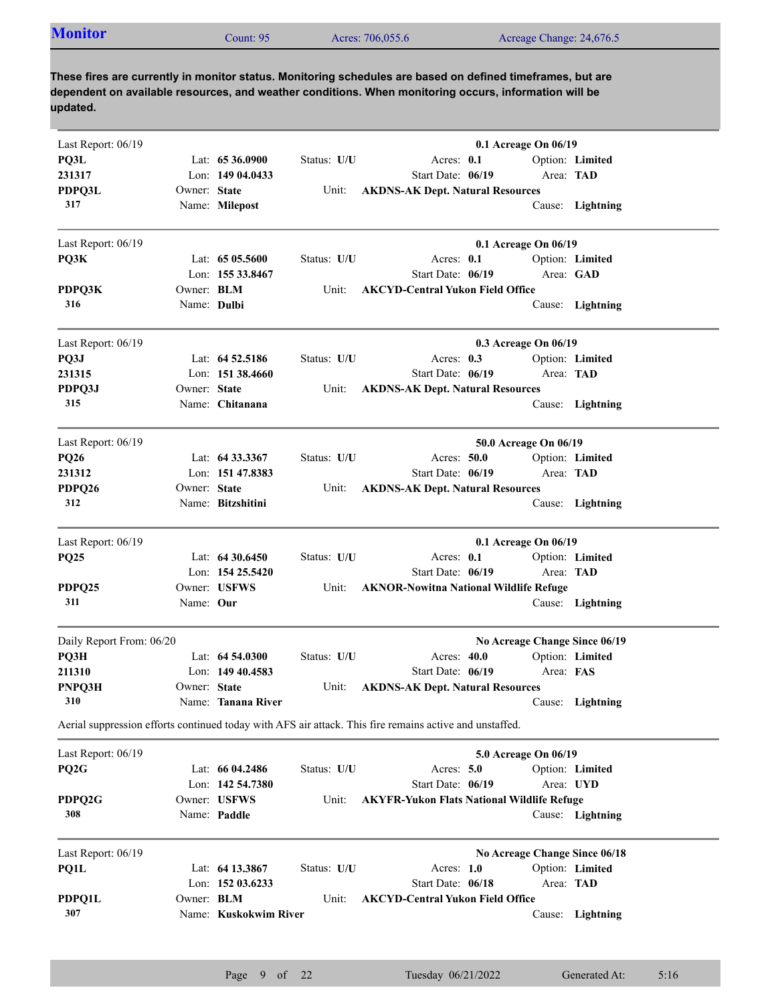| <b>Monitor</b><br>Acres: 706,055.6<br>Acreage Change: 24,676.5<br>Count: $951$ |
|--------------------------------------------------------------------------------|
|--------------------------------------------------------------------------------|

| Last Report: 06/19       |              |                       |             | 0.1 Acreage On 06/19                                                                                    |           |                  |
|--------------------------|--------------|-----------------------|-------------|---------------------------------------------------------------------------------------------------------|-----------|------------------|
| PQ3L                     |              | Lat: $6536.0900$      | Status: U/U | Acres: 0.1                                                                                              |           | Option: Limited  |
| 231317                   |              | Lon: 149 04.0433      |             | Start Date: 06/19                                                                                       | Area: TAD |                  |
| <b>PDPQ3L</b>            | Owner: State |                       | Unit:       | <b>AKDNS-AK Dept. Natural Resources</b>                                                                 |           |                  |
| 317                      |              | Name: Milepost        |             |                                                                                                         |           | Cause: Lightning |
| Last Report: 06/19       |              |                       |             | 0.1 Acreage On 06/19                                                                                    |           |                  |
| PQ3K                     |              | Lat: $6505.5600$      | Status: U/U | Acres: 0.1                                                                                              |           | Option: Limited  |
|                          |              | Lon: 155 33.8467      |             | Start Date: 06/19                                                                                       | Area: GAD |                  |
| PDPQ3K                   | Owner: BLM   |                       | Unit:       | <b>AKCYD-Central Yukon Field Office</b>                                                                 |           |                  |
| 316                      | Name: Dulbi  |                       |             |                                                                                                         |           | Cause: Lightning |
| Last Report: 06/19       |              |                       |             | 0.3 Acreage On 06/19                                                                                    |           |                  |
| PQ3J                     |              | Lat: $64\,52.5186$    | Status: U/U | Acres: $0.3$                                                                                            |           | Option: Limited  |
| 231315                   |              | Lon: $151\,38.4660$   |             | Start Date: 06/19                                                                                       | Area: TAD |                  |
| PDPQ3J                   | Owner: State |                       | Unit:       | <b>AKDNS-AK Dept. Natural Resources</b>                                                                 |           |                  |
| 315                      |              | Name: Chitanana       |             |                                                                                                         |           | Cause: Lightning |
| Last Report: 06/19       |              |                       |             | 50.0 Acreage On 06/19                                                                                   |           |                  |
| <b>PQ26</b>              |              | Lat: $64\,33.3367$    | Status: U/U | Acres: 50.0                                                                                             |           | Option: Limited  |
| 231312                   |              | Lon: 151 47.8383      |             | Start Date: 06/19                                                                                       | Area: TAD |                  |
| PDPQ26                   | Owner: State |                       | Unit:       | <b>AKDNS-AK Dept. Natural Resources</b>                                                                 |           |                  |
| 312                      |              | Name: Bitzshitini     |             |                                                                                                         |           | Cause: Lightning |
| Last Report: 06/19       |              |                       |             | 0.1 Acreage On 06/19                                                                                    |           |                  |
| <b>PQ25</b>              |              | Lat: $64\,30.6450$    | Status: U/U | Acres: 0.1                                                                                              |           | Option: Limited  |
|                          |              | Lon: $15425.5420$     |             | Start Date: 06/19                                                                                       | Area: TAD |                  |
| PDPQ25                   |              | Owner: USFWS          | Unit:       | <b>AKNOR-Nowitna National Wildlife Refuge</b>                                                           |           |                  |
| 311                      | Name: Our    |                       |             |                                                                                                         |           | Cause: Lightning |
| Daily Report From: 06/20 |              |                       |             | No Acreage Change Since 06/19                                                                           |           |                  |
| PQ3H                     |              | Lat: $64,54,0300$     | Status: U/U | Acres: 40.0                                                                                             |           | Option: Limited  |
| 211310                   |              | Lon: $14940.4583$     |             | Start Date: 06/19                                                                                       | Area: FAS |                  |
| PNPQ3H                   | Owner: State |                       | Unit:       | <b>AKDNS-AK Dept. Natural Resources</b>                                                                 |           |                  |
| 310                      |              | Name: Tanana River    |             |                                                                                                         |           | Cause: Lightning |
|                          |              |                       |             | Aerial suppression efforts continued today with AFS air attack. This fire remains active and unstaffed. |           |                  |
| Last Report: 06/19       |              |                       |             | 5.0 Acreage On 06/19                                                                                    |           |                  |
| PQ <sub>2G</sub>         |              | Lat: 66 04.2486       | Status: U/U | Acres: 5.0                                                                                              |           | Option: Limited  |
|                          |              | Lon: 142 54.7380      |             | Start Date: 06/19                                                                                       | Area: UYD |                  |
| PDPQ2G                   |              | Owner: USFWS          | Unit:       | <b>AKYFR-Yukon Flats National Wildlife Refuge</b>                                                       |           |                  |
| 308                      |              | Name: Paddle          |             |                                                                                                         |           | Cause: Lightning |
| Last Report: 06/19       |              |                       |             | No Acreage Change Since 06/18                                                                           |           |                  |
| PQ1L                     |              | Lat: 64 13.3867       | Status: U/U | Acres: $1.0$                                                                                            |           | Option: Limited  |
|                          |              | Lon: 152 03.6233      |             | Start Date: 06/18                                                                                       | Area: TAD |                  |
| PDPQ1L                   | Owner: BLM   |                       | Unit:       | <b>AKCYD-Central Yukon Field Office</b>                                                                 |           |                  |
| 307                      |              | Name: Kuskokwim River |             |                                                                                                         |           | Cause: Lightning |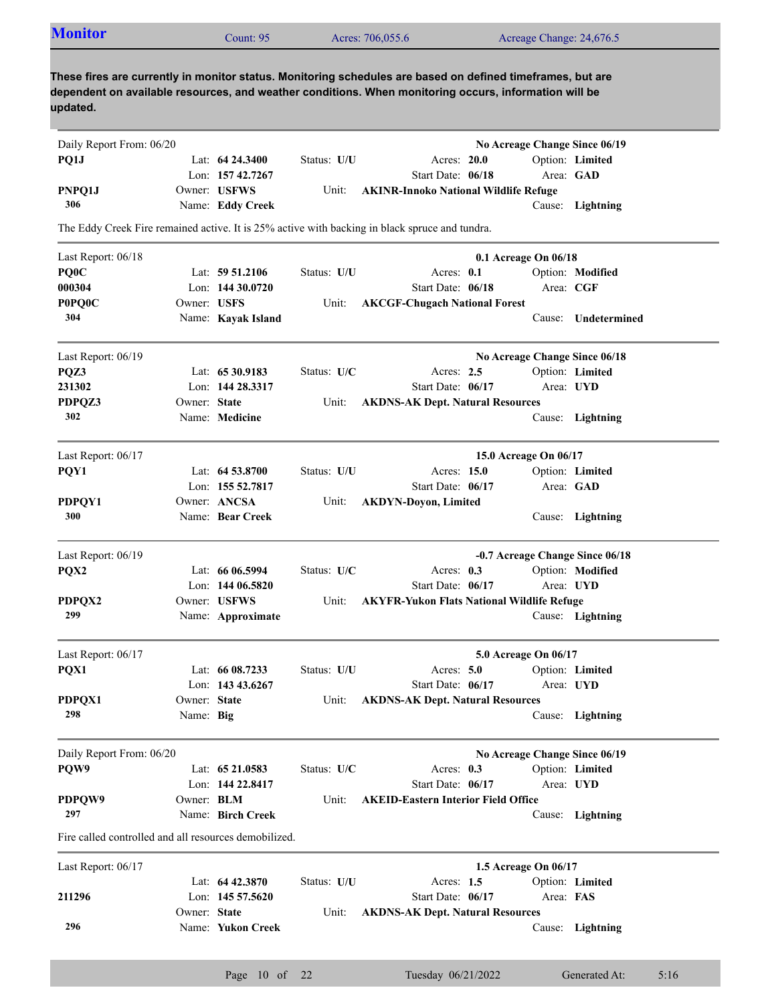| <b>Monitor</b>                                        |              | Count: 95          |             | Acres: 706,055.6                                                                                                                                                                                                    | Acreage Change: 24,676.5        |                  |
|-------------------------------------------------------|--------------|--------------------|-------------|---------------------------------------------------------------------------------------------------------------------------------------------------------------------------------------------------------------------|---------------------------------|------------------|
| updated.                                              |              |                    |             | These fires are currently in monitor status. Monitoring schedules are based on defined timeframes, but are<br>dependent on available resources, and weather conditions. When monitoring occurs, information will be |                                 |                  |
| Daily Report From: 06/20                              |              |                    |             |                                                                                                                                                                                                                     | No Acreage Change Since 06/19   |                  |
| PQ1J                                                  |              | Lat: 64 24.3400    | Status: U/U | Acres: 20.0                                                                                                                                                                                                         |                                 | Option: Limited  |
|                                                       |              | Lon: 157 42.7267   |             | Start Date: 06/18                                                                                                                                                                                                   |                                 | Area: GAD        |
| PNPQ1J                                                |              | Owner: USFWS       | Unit:       | <b>AKINR-Innoko National Wildlife Refuge</b>                                                                                                                                                                        |                                 |                  |
| 306                                                   |              | Name: Eddy Creek   |             |                                                                                                                                                                                                                     |                                 | Cause: Lightning |
|                                                       |              |                    |             | The Eddy Creek Fire remained active. It is 25% active with backing in black spruce and tundra.                                                                                                                      |                                 |                  |
| Last Report: 06/18                                    |              |                    |             |                                                                                                                                                                                                                     | 0.1 Acreage On 06/18            |                  |
| PQ <sub>0</sub> C                                     |              | Lat: $59\,51.2106$ | Status: U/U | Acres: $0.1$                                                                                                                                                                                                        |                                 | Option: Modified |
| 000304                                                |              | Lon: $14430.0720$  |             | Start Date: 06/18                                                                                                                                                                                                   |                                 | Area: CGF        |
| P0PQ0C                                                | Owner: USFS  |                    | Unit:       | <b>AKCGF-Chugach National Forest</b>                                                                                                                                                                                |                                 |                  |
| 304                                                   |              | Name: Kayak Island |             |                                                                                                                                                                                                                     | Cause:                          | Undetermined     |
| Last Report: 06/19                                    |              |                    |             |                                                                                                                                                                                                                     | No Acreage Change Since 06/18   |                  |
| PQZ3                                                  |              | Lat: 65 30.9183    | Status: U/C | Acres: $2.5$                                                                                                                                                                                                        |                                 | Option: Limited  |
| 231302                                                |              | Lon: 144 28.3317   |             | Start Date: 06/17                                                                                                                                                                                                   |                                 | Area: UYD        |
| PDPQZ3                                                | Owner: State |                    | Unit:       | <b>AKDNS-AK Dept. Natural Resources</b>                                                                                                                                                                             |                                 |                  |
| 302                                                   |              | Name: Medicine     |             |                                                                                                                                                                                                                     |                                 | Cause: Lightning |
| Last Report: 06/17                                    |              |                    |             |                                                                                                                                                                                                                     | 15.0 Acreage On 06/17           |                  |
| PQY1                                                  |              | Lat: 64 53.8700    | Status: U/U | Acres: 15.0                                                                                                                                                                                                         |                                 | Option: Limited  |
|                                                       |              | Lon: $15552.7817$  |             | Start Date: 06/17                                                                                                                                                                                                   |                                 | Area: GAD        |
| PDPQY1                                                |              | Owner: ANCSA       | Unit:       | <b>AKDYN-Doyon, Limited</b>                                                                                                                                                                                         |                                 |                  |
| 300                                                   |              | Name: Bear Creek   |             |                                                                                                                                                                                                                     |                                 | Cause: Lightning |
| Last Report: 06/19                                    |              |                    |             |                                                                                                                                                                                                                     | -0.7 Acreage Change Since 06/18 |                  |
| PQX2                                                  |              | Lat: 66 06.5994    | Status: U/C | Acres: $0.3$                                                                                                                                                                                                        |                                 | Option: Modified |
|                                                       |              | Lon: 144 06.5820   |             | Start Date: 06/17                                                                                                                                                                                                   |                                 | Area: UYD        |
| PDPQX2                                                |              | Owner: USFWS       | Unit:       | <b>AKYFR-Yukon Flats National Wildlife Refuge</b>                                                                                                                                                                   |                                 |                  |
| 299                                                   |              | Name: Approximate  |             |                                                                                                                                                                                                                     |                                 | Cause: Lightning |
| Last Report: 06/17                                    |              |                    |             |                                                                                                                                                                                                                     | 5.0 Acreage On 06/17            |                  |
| PQX1                                                  |              | Lat: 66 08.7233    | Status: U/U | Acres: 5.0                                                                                                                                                                                                          |                                 | Option: Limited  |
|                                                       |              | Lon: 143 43.6267   |             | Start Date: 06/17                                                                                                                                                                                                   |                                 | Area: UYD        |
| PDPQX1                                                | Owner: State |                    | Unit:       | <b>AKDNS-AK Dept. Natural Resources</b>                                                                                                                                                                             |                                 |                  |
| 298                                                   | Name: Big    |                    |             |                                                                                                                                                                                                                     |                                 | Cause: Lightning |
| Daily Report From: 06/20                              |              |                    |             |                                                                                                                                                                                                                     | No Acreage Change Since 06/19   |                  |
| PQW9                                                  |              | Lat: 65 21.0583    | Status: U/C | Acres: 0.3                                                                                                                                                                                                          |                                 | Option: Limited  |
|                                                       |              | Lon: 144 22.8417   |             | Start Date: 06/17                                                                                                                                                                                                   |                                 | Area: UYD        |
| PDPQW9                                                | Owner: BLM   |                    | Unit:       | <b>AKEID-Eastern Interior Field Office</b>                                                                                                                                                                          |                                 |                  |
| 297                                                   |              | Name: Birch Creek  |             |                                                                                                                                                                                                                     |                                 | Cause: Lightning |
| Fire called controlled and all resources demobilized. |              |                    |             |                                                                                                                                                                                                                     |                                 |                  |
| Last Report: 06/17                                    |              |                    |             |                                                                                                                                                                                                                     | 1.5 Acreage On 06/17            |                  |
|                                                       |              | Lat: $64\,42.3870$ | Status: U/U | Acres: $1.5$                                                                                                                                                                                                        |                                 | Option: Limited  |
| 211296                                                |              | Lon: 145 57.5620   |             | Start Date: 06/17                                                                                                                                                                                                   | Area: FAS                       |                  |

Name: **Yukon Creek**

Owner: State

**296**

**State AKDNS-AK Dept. Natural Resources**

Cause: **Lightning**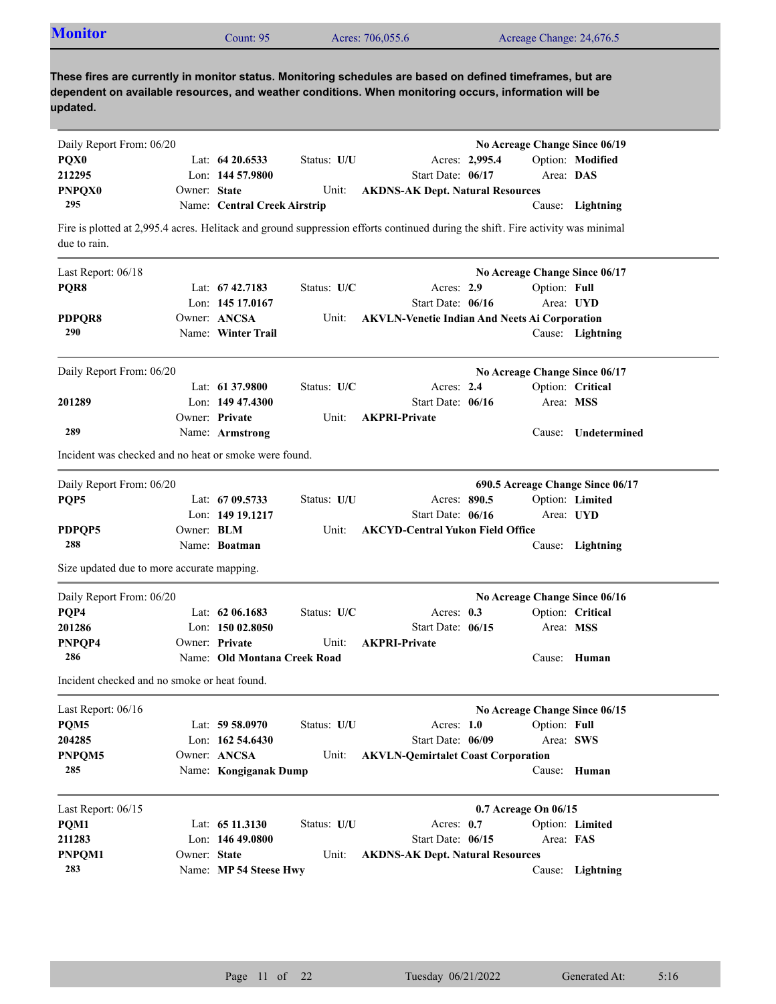| <b>Monitor</b>                                        |                   | Count: 95                    |             | Acres: 706,055.6                                                                                                                                                                                                    |                | Acreage Change: 24,676.5      |                                  |
|-------------------------------------------------------|-------------------|------------------------------|-------------|---------------------------------------------------------------------------------------------------------------------------------------------------------------------------------------------------------------------|----------------|-------------------------------|----------------------------------|
| updated.                                              |                   |                              |             | These fires are currently in monitor status. Monitoring schedules are based on defined timeframes, but are<br>dependent on available resources, and weather conditions. When monitoring occurs, information will be |                |                               |                                  |
| Daily Report From: 06/20                              |                   |                              |             |                                                                                                                                                                                                                     |                | No Acreage Change Since 06/19 |                                  |
| PQX0                                                  |                   | Lat: $64\,20.6533$           | Status: U/U |                                                                                                                                                                                                                     | Acres: 2,995.4 |                               | Option: Modified                 |
| 212295                                                |                   | Lon: 144 57.9800             |             | Start Date: 06/17                                                                                                                                                                                                   |                | Area: DAS                     |                                  |
| <b>PNPQX0</b>                                         | Owner: State      |                              | Unit:       | <b>AKDNS-AK Dept. Natural Resources</b>                                                                                                                                                                             |                |                               |                                  |
| 295                                                   |                   | Name: Central Creek Airstrip |             |                                                                                                                                                                                                                     |                |                               | Cause: Lightning                 |
| due to rain.                                          |                   |                              |             | Fire is plotted at 2,995.4 acres. Helitack and ground suppression efforts continued during the shift. Fire activity was minimal                                                                                     |                |                               |                                  |
| Last Report: 06/18                                    |                   |                              |             |                                                                                                                                                                                                                     |                | No Acreage Change Since 06/17 |                                  |
| PQR8                                                  |                   | Lat: 67 42.7183              | Status: U/C | Acres: 2.9                                                                                                                                                                                                          |                | Option: Full                  |                                  |
|                                                       |                   | Lon: 145 17,0167             |             | Start Date: 06/16                                                                                                                                                                                                   |                | Area: UYD                     |                                  |
| PDPQR8                                                |                   | Owner: ANCSA                 | Unit:       | <b>AKVLN-Venetie Indian And Neets Ai Corporation</b>                                                                                                                                                                |                |                               |                                  |
| 290                                                   |                   | Name: Winter Trail           |             |                                                                                                                                                                                                                     |                |                               | Cause: Lightning                 |
| Daily Report From: 06/20                              |                   |                              |             |                                                                                                                                                                                                                     |                | No Acreage Change Since 06/17 |                                  |
|                                                       |                   | Lat: 61 37.9800              | Status: U/C | Acres: 2.4                                                                                                                                                                                                          |                |                               | Option: Critical                 |
| 201289                                                |                   | Lon: $14947.4300$            |             | Start Date: 06/16                                                                                                                                                                                                   |                | Area: MSS                     |                                  |
|                                                       |                   | Owner: Private               | Unit:       | <b>AKPRI-Private</b>                                                                                                                                                                                                |                |                               |                                  |
| 289                                                   |                   | Name: Armstrong              |             |                                                                                                                                                                                                                     |                | Cause:                        | Undetermined                     |
| Incident was checked and no heat or smoke were found. |                   |                              |             |                                                                                                                                                                                                                     |                |                               |                                  |
| Daily Report From: 06/20                              |                   |                              |             |                                                                                                                                                                                                                     |                |                               | 690.5 Acreage Change Since 06/17 |
| PQP5                                                  |                   | Lat: 67 09.5733              | Status: U/U | Acres: 890.5                                                                                                                                                                                                        |                |                               | Option: Limited                  |
|                                                       |                   | Lon: 149 19.1217             |             | Start Date: 06/16                                                                                                                                                                                                   |                | Area: UYD                     |                                  |
| PDPQP5                                                | Owner: <b>BLM</b> |                              | Unit:       | <b>AKCYD-Central Yukon Field Office</b>                                                                                                                                                                             |                |                               |                                  |
| 288                                                   |                   | Name: Boatman                |             |                                                                                                                                                                                                                     |                |                               | Cause: Lightning                 |
| Size updated due to more accurate mapping.            |                   |                              |             |                                                                                                                                                                                                                     |                |                               |                                  |
| Daily Report From: 06/20                              |                   |                              |             |                                                                                                                                                                                                                     |                | No Acreage Change Since 06/16 |                                  |
| PQP4                                                  |                   | Lat: $62\,06.1683$           | Status: U/C | Acres: $0.3$                                                                                                                                                                                                        |                |                               | Option: Critical                 |
| 201286                                                |                   | Lon: 150 02.8050             |             | Start Date: 06/15                                                                                                                                                                                                   |                | Area: MSS                     |                                  |
| PNPQP4                                                |                   | Owner: Private               | Unit:       | <b>AKPRI-Private</b>                                                                                                                                                                                                |                |                               |                                  |
| 286                                                   |                   | Name: Old Montana Creek Road |             |                                                                                                                                                                                                                     |                |                               | Cause: Human                     |
| Incident checked and no smoke or heat found.          |                   |                              |             |                                                                                                                                                                                                                     |                |                               |                                  |
| Last Report: 06/16                                    |                   |                              |             |                                                                                                                                                                                                                     |                | No Acreage Change Since 06/15 |                                  |
| PQM5                                                  |                   | Lat: $59 58.0970$            | Status: U/U | Acres: $1.0$                                                                                                                                                                                                        |                | Option: Full                  |                                  |
| 204285                                                |                   | Lon: $162, 54.6430$          |             | Start Date: 06/09                                                                                                                                                                                                   |                |                               | Area: SWS                        |
| PNPQM5                                                |                   | Owner: ANCSA                 | Unit:       | <b>AKVLN-Qemirtalet Coast Corporation</b>                                                                                                                                                                           |                |                               |                                  |
| 285                                                   |                   | Name: Kongiganak Dump        |             |                                                                                                                                                                                                                     |                | Cause:                        | Human                            |
| Last Report: 06/15                                    |                   |                              |             |                                                                                                                                                                                                                     |                | 0.7 Acreage On 06/15          |                                  |
| PQM1                                                  |                   | Lat: 65 11.3130              | Status: U/U | Acres: $0.7$                                                                                                                                                                                                        |                |                               | Option: Limited                  |
| 211283                                                |                   | Lon: $14649.0800$            |             | Start Date: 06/15                                                                                                                                                                                                   |                | Area: FAS                     |                                  |
|                                                       |                   |                              |             |                                                                                                                                                                                                                     |                |                               |                                  |
| PNPQM1                                                | Owner: State      |                              | Unit:       | <b>AKDNS-AK Dept. Natural Resources</b>                                                                                                                                                                             |                |                               |                                  |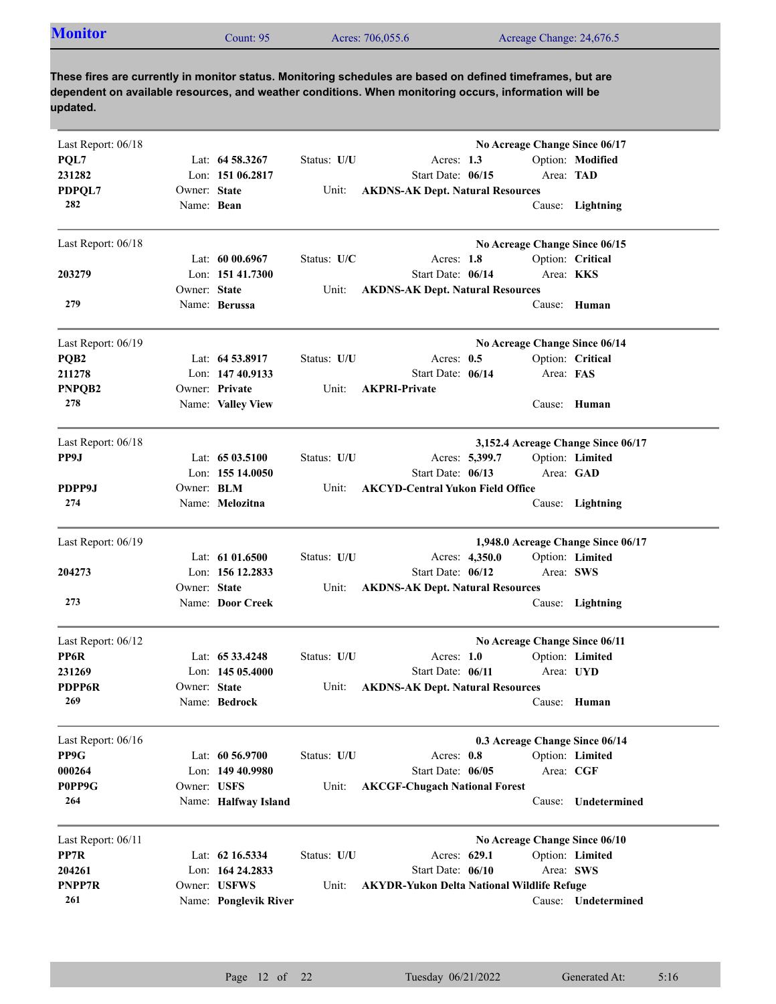| <b>Monitor</b><br>Acres: 706,055.6<br>Acreage Change: 24,676.5<br>Count: 95 |  |
|-----------------------------------------------------------------------------|--|
|-----------------------------------------------------------------------------|--|

| Last Report: 06/18 |                   |                       |             |                                                   | No Acreage Change Since 06/17  |           |                                    |
|--------------------|-------------------|-----------------------|-------------|---------------------------------------------------|--------------------------------|-----------|------------------------------------|
| PQL7               |                   | Lat: 64 58.3267       | Status: U/U | Acres: 1.3                                        |                                |           | Option: Modified                   |
| 231282             |                   | Lon: 151 06.2817      |             | Start Date: 06/15                                 |                                | Area: TAD |                                    |
| PDPQL7             | Owner: State      |                       | Unit:       | <b>AKDNS-AK Dept. Natural Resources</b>           |                                |           |                                    |
| 282                | Name: Bean        |                       |             |                                                   |                                |           | Cause: Lightning                   |
| Last Report: 06/18 |                   |                       |             |                                                   | No Acreage Change Since 06/15  |           |                                    |
|                    |                   | Lat: $6000.6967$      | Status: U/C | Acres: 1.8                                        |                                |           | Option: Critical                   |
| 203279             |                   | Lon: 151 41.7300      |             | Start Date: 06/14                                 |                                | Area: KKS |                                    |
|                    | Owner: State      |                       | Unit:       | <b>AKDNS-AK Dept. Natural Resources</b>           |                                |           |                                    |
| 279                |                   | Name: Berussa         |             |                                                   |                                |           | Cause: Human                       |
| Last Report: 06/19 |                   |                       |             |                                                   | No Acreage Change Since 06/14  |           |                                    |
| PQB <sub>2</sub>   |                   | Lat: 64 53.8917       | Status: U/U | Acres: $0.5$                                      |                                |           | Option: Critical                   |
| 211278             |                   | Lon: 147 40.9133      |             | Start Date: 06/14                                 |                                | Area: FAS |                                    |
| PNPQB2             |                   | Owner: Private        | Unit:       | <b>AKPRI-Private</b>                              |                                |           |                                    |
| 278                |                   | Name: Valley View     |             |                                                   |                                |           | Cause: Human                       |
| Last Report: 06/18 |                   |                       |             |                                                   |                                |           | 3,152.4 Acreage Change Since 06/17 |
| PP9J               |                   | Lat: $6503.5100$      | Status: U/U | Acres: 5,399.7                                    |                                |           | Option: Limited                    |
|                    |                   | Lon: $15514.0050$     |             | Start Date: 06/13                                 |                                |           | Area: GAD                          |
| PDPP9J             | Owner: <b>BLM</b> |                       | Unit:       | <b>AKCYD-Central Yukon Field Office</b>           |                                |           |                                    |
| 274                |                   | Name: Melozitna       |             |                                                   |                                |           | Cause: Lightning                   |
| Last Report: 06/19 |                   |                       |             |                                                   |                                |           | 1,948.0 Acreage Change Since 06/17 |
|                    |                   | Lat: $6101.6500$      | Status: U/U | Acres: 4,350.0                                    |                                |           | Option: Limited                    |
| 204273             |                   | Lon: $15612.2833$     |             | Start Date: 06/12                                 |                                | Area: SWS |                                    |
|                    | Owner: State      |                       | Unit:       | <b>AKDNS-AK Dept. Natural Resources</b>           |                                |           |                                    |
| 273                |                   | Name: Door Creek      |             |                                                   |                                |           | Cause: Lightning                   |
| Last Report: 06/12 |                   |                       |             |                                                   | No Acreage Change Since 06/11  |           |                                    |
| PP6R               |                   | Lat: 65 33.4248       | Status: U/U | Acres: $1.0$                                      |                                |           | Option: Limited                    |
| 231269             |                   | Lon: $14505.4000$     |             | Start Date: 06/11                                 |                                | Area: UYD |                                    |
| PDPP6R             | Owner: State      |                       | Unit:       | <b>AKDNS-AK Dept. Natural Resources</b>           |                                |           |                                    |
| 269                |                   | Name: Bedrock         |             |                                                   |                                |           | Cause: Human                       |
| Last Report: 06/16 |                   |                       |             |                                                   | 0.3 Acreage Change Since 06/14 |           |                                    |
| PP9G               |                   | Lat: 60 56.9700       | Status: U/U | Acres: 0.8                                        |                                |           | Option: Limited                    |
| 000264             |                   | Lon: 149 40.9980      |             | Start Date: 06/05                                 |                                | Area: CGF |                                    |
| P0PP9G             | Owner: USFS       |                       | Unit:       | <b>AKCGF-Chugach National Forest</b>              |                                |           |                                    |
| 264                |                   | Name: Halfway Island  |             |                                                   |                                | Cause:    | Undetermined                       |
| Last Report: 06/11 |                   |                       |             |                                                   | No Acreage Change Since 06/10  |           |                                    |
| PP7R               |                   | Lat: 62 16.5334       | Status: U/U | Acres: 629.1                                      |                                |           | Option: Limited                    |
| 204261             |                   | Lon: 164 24.2833      |             | Start Date: 06/10                                 |                                | Area: SWS |                                    |
| PNPP7R             |                   | Owner: USFWS          | Unit:       | <b>AKYDR-Yukon Delta National Wildlife Refuge</b> |                                |           |                                    |
| 261                |                   | Name: Ponglevik River |             |                                                   |                                |           | Cause: Undetermined                |
|                    |                   |                       |             |                                                   |                                |           |                                    |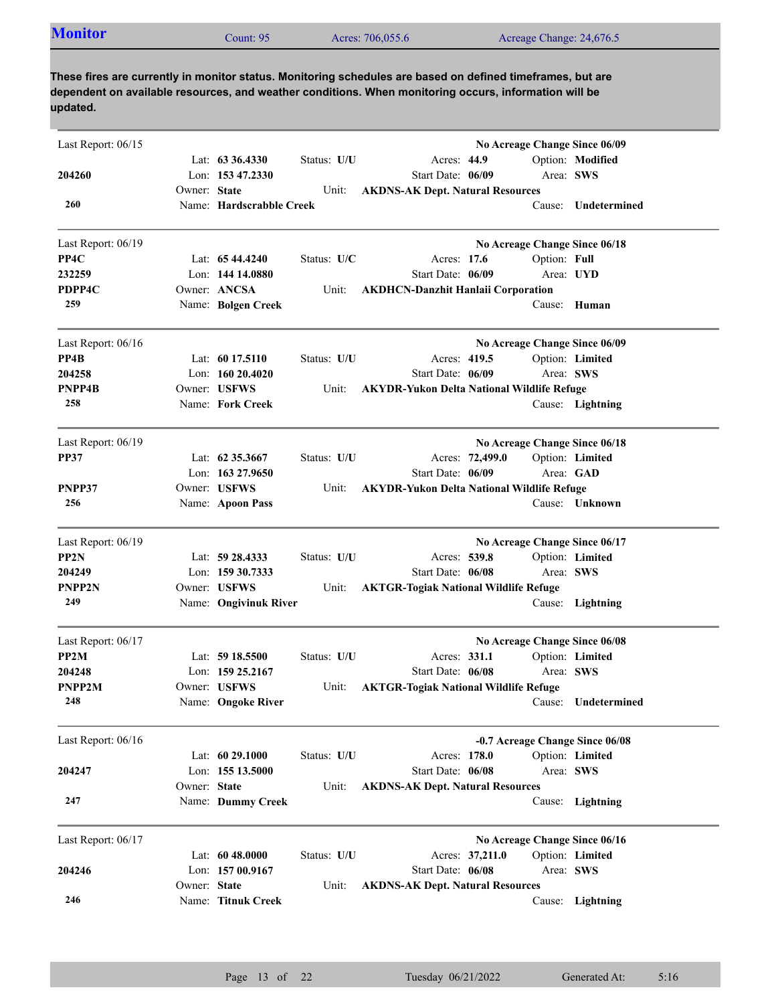| <b>Monitor</b><br>Acres: 706,055.6<br>Acreage Change: 24,676.5<br>Count: $951$ |
|--------------------------------------------------------------------------------|
|--------------------------------------------------------------------------------|

| Last Report: 06/15 |              |                          |             |                                                   | No Acreage Change Since 06/09 |              |                                 |
|--------------------|--------------|--------------------------|-------------|---------------------------------------------------|-------------------------------|--------------|---------------------------------|
|                    |              | Lat: $63\,36.4330$       | Status: U/U | Acres: 44.9                                       |                               |              | Option: Modified                |
| 204260             |              | Lon: 153 47.2330         |             | Start Date: 06/09                                 |                               | Area: SWS    |                                 |
|                    | Owner: State |                          | Unit:       | <b>AKDNS-AK Dept. Natural Resources</b>           |                               |              |                                 |
| 260                |              | Name: Hardscrabble Creek |             |                                                   |                               |              | Cause: Undetermined             |
| Last Report: 06/19 |              |                          |             |                                                   |                               |              | No Acreage Change Since 06/18   |
| PP4C               |              | Lat: $6544.4240$         | Status: U/C | Acres: 17.6                                       |                               | Option: Full |                                 |
| 232259             |              | Lon: $14414.0880$        |             | Start Date: 06/09                                 |                               | Area: UYD    |                                 |
| PDPP4C             |              | Owner: ANCSA             | Unit:       | <b>AKDHCN-Danzhit Hanlaii Corporation</b>         |                               |              |                                 |
| 259                |              | Name: Bolgen Creek       |             |                                                   |                               |              | Cause: Human                    |
| Last Report: 06/16 |              |                          |             |                                                   |                               |              | No Acreage Change Since 06/09   |
| PP4B               |              | Lat: $6017.5110$         | Status: U/U | Acres: 419.5                                      |                               |              | Option: Limited                 |
| 204258             |              | Lon: $16020.4020$        |             | Start Date: 06/09                                 |                               | Area: SWS    |                                 |
| PNPP4B             |              | Owner: USFWS             | Unit:       | <b>AKYDR-Yukon Delta National Wildlife Refuge</b> |                               |              |                                 |
| 258                |              | Name: Fork Creek         |             |                                                   |                               |              | Cause: Lightning                |
| Last Report: 06/19 |              |                          |             |                                                   |                               |              | No Acreage Change Since 06/18   |
| <b>PP37</b>        |              | Lat: 62 35.3667          | Status: U/U |                                                   | Acres: 72,499.0               |              | Option: Limited                 |
|                    |              | Lon: 163 27.9650         |             | Start Date: 06/09                                 |                               | Area: GAD    |                                 |
| PNPP37             |              | Owner: USFWS             | Unit:       | <b>AKYDR-Yukon Delta National Wildlife Refuge</b> |                               |              |                                 |
| 256                |              | Name: Apoon Pass         |             |                                                   |                               |              | Cause: Unknown                  |
| Last Report: 06/19 |              |                          |             |                                                   |                               |              | No Acreage Change Since 06/17   |
| PP <sub>2N</sub>   |              | Lat: 59 28.4333          | Status: U/U | Acres: 539.8                                      |                               |              | Option: Limited                 |
| 204249             |              | Lon: 159 30.7333         |             | Start Date: 06/08                                 |                               | Area: SWS    |                                 |
| <b>PNPP2N</b>      |              | Owner: USFWS             | Unit:       | <b>AKTGR-Togiak National Wildlife Refuge</b>      |                               |              |                                 |
| 249                |              | Name: Ongivinuk River    |             |                                                   |                               |              | Cause: Lightning                |
| Last Report: 06/17 |              |                          |             |                                                   |                               |              | No Acreage Change Since 06/08   |
| PP <sub>2</sub> M  |              | Lat: $5918.5500$         | Status: U/U | Acres: 331.1                                      |                               |              | Option: Limited                 |
| 204248             |              | Lon: $15925.2167$        |             | Start Date: 06/08                                 |                               | Area: SWS    |                                 |
| PNPP2M             |              | Owner: USFWS             | Unit:       | <b>AKTGR-Togiak National Wildlife Refuge</b>      |                               |              |                                 |
| 248                |              | Name: Ongoke River       |             |                                                   |                               |              | Cause: Undetermined             |
| Last Report: 06/16 |              |                          |             |                                                   |                               |              | -0.7 Acreage Change Since 06/08 |
|                    |              | Lat: 60 29.1000          | Status: U/U | Acres: 178.0                                      |                               |              | Option: Limited                 |
| 204247             |              | Lon: 155 13.5000         |             | Start Date: 06/08                                 |                               | Area: SWS    |                                 |
|                    | Owner: State |                          | Unit:       | <b>AKDNS-AK Dept. Natural Resources</b>           |                               |              |                                 |
| 247                |              | Name: Dummy Creek        |             |                                                   |                               |              | Cause: Lightning                |
| Last Report: 06/17 |              |                          |             |                                                   |                               |              | No Acreage Change Since 06/16   |
|                    |              | Lat: 60 48.0000          | Status: U/U |                                                   | Acres: 37,211.0               |              | Option: Limited                 |
| 204246             |              | Lon: 157 00.9167         |             | Start Date: 06/08                                 |                               | Area: SWS    |                                 |
|                    | Owner: State |                          | Unit:       | <b>AKDNS-AK Dept. Natural Resources</b>           |                               |              |                                 |
| 246                |              | Name: Titnuk Creek       |             |                                                   |                               |              | Cause: Lightning                |
|                    |              |                          |             |                                                   |                               |              |                                 |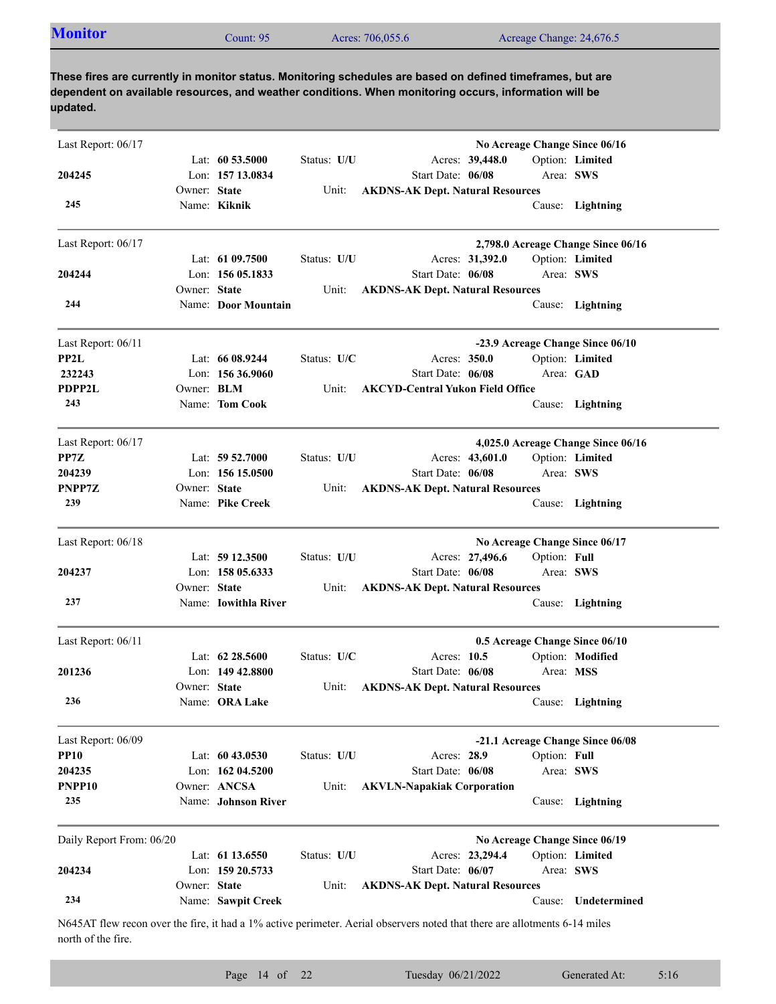| <b>Monitor</b><br>Acres: 706,055.6<br>Acreage Change: 24,676.5<br>Jount: 95 |  |
|-----------------------------------------------------------------------------|--|
|-----------------------------------------------------------------------------|--|

| Last Report: 06/17       |              |                      |             |                                                                                                                            |              | No Acreage Change Since 06/16      |
|--------------------------|--------------|----------------------|-------------|----------------------------------------------------------------------------------------------------------------------------|--------------|------------------------------------|
|                          |              | Lat: $60\,53.5000$   | Status: U/U | Acres: 39,448.0                                                                                                            |              | Option: Limited                    |
| 204245                   |              | Lon: 157 13.0834     |             | Start Date: 06/08                                                                                                          | Area: SWS    |                                    |
|                          | Owner: State |                      | Unit:       | <b>AKDNS-AK Dept. Natural Resources</b>                                                                                    |              |                                    |
| 245                      |              | Name: Kiknik         |             |                                                                                                                            |              | Cause: Lightning                   |
| Last Report: 06/17       |              |                      |             |                                                                                                                            |              | 2,798.0 Acreage Change Since 06/16 |
|                          |              | Lat: $6109.7500$     | Status: U/U | Acres: 31,392.0                                                                                                            |              | Option: Limited                    |
| 204244                   |              | Lon: 156 05.1833     |             | Start Date: 06/08                                                                                                          | Area: SWS    |                                    |
|                          | Owner: State |                      | Unit:       | <b>AKDNS-AK Dept. Natural Resources</b>                                                                                    |              |                                    |
| 244                      |              | Name: Door Mountain  |             |                                                                                                                            |              | Cause: Lightning                   |
| Last Report: 06/11       |              |                      |             |                                                                                                                            |              | -23.9 Acreage Change Since 06/10   |
| PP2L                     |              | Lat: $6608.9244$     | Status: U/C | Acres: 350.0                                                                                                               |              | Option: Limited                    |
| 232243                   |              | Lon: $15636.9060$    |             | Start Date: 06/08                                                                                                          | Area: GAD    |                                    |
| PDPP2L                   | Owner: BLM   |                      | Unit:       | <b>AKCYD-Central Yukon Field Office</b>                                                                                    |              |                                    |
| 243                      |              | Name: Tom Cook       |             |                                                                                                                            |              | Cause: Lightning                   |
| Last Report: 06/17       |              |                      |             |                                                                                                                            |              | 4,025.0 Acreage Change Since 06/16 |
| PP7Z                     |              | Lat: $59\,52.7000$   | Status: U/U | Acres: 43,601.0                                                                                                            |              | Option: Limited                    |
| 204239                   |              | Lon: 156 15.0500     |             | Start Date: 06/08                                                                                                          | Area: SWS    |                                    |
| PNPP7Z                   | Owner: State |                      | Unit:       | <b>AKDNS-AK Dept. Natural Resources</b>                                                                                    |              |                                    |
| 239                      |              | Name: Pike Creek     |             |                                                                                                                            |              | Cause: Lightning                   |
| Last Report: 06/18       |              |                      |             |                                                                                                                            |              | No Acreage Change Since 06/17      |
|                          |              | Lat: 59 12.3500      | Status: U/U | Acres: 27,496.6                                                                                                            | Option: Full |                                    |
| 204237                   |              | Lon: 158 05.6333     |             | Start Date: 06/08                                                                                                          | Area: SWS    |                                    |
|                          | Owner: State |                      | Unit:       | <b>AKDNS-AK Dept. Natural Resources</b>                                                                                    |              |                                    |
| 237                      |              | Name: Iowithla River |             |                                                                                                                            |              | Cause: Lightning                   |
| Last Report: 06/11       |              |                      |             |                                                                                                                            |              | 0.5 Acreage Change Since 06/10     |
|                          |              | Lat: $62\,28.5600$   | Status: U/C | Acres: 10.5                                                                                                                |              | Option: Modified                   |
| 201236                   |              | Lon: $14942.8800$    |             | Start Date: 06/08                                                                                                          | Area: MSS    |                                    |
|                          | Owner: State |                      | Unit:       | <b>AKDNS-AK Dept. Natural Resources</b>                                                                                    |              |                                    |
| 236                      |              | Name: ORA Lake       |             |                                                                                                                            |              | Cause: Lightning                   |
| Last Report: 06/09       |              |                      |             |                                                                                                                            |              | -21.1 Acreage Change Since 06/08   |
| <b>PP10</b>              |              | Lat: 60 43.0530      | Status: U/U | Acres: 28.9                                                                                                                | Option: Full |                                    |
| 204235                   |              | Lon: 162 04.5200     |             | Start Date: 06/08                                                                                                          | Area: SWS    |                                    |
| PNPP <sub>10</sub>       |              | Owner: ANCSA         | Unit:       | <b>AKVLN-Napakiak Corporation</b>                                                                                          |              |                                    |
| 235                      |              | Name: Johnson River  |             |                                                                                                                            |              | Cause: Lightning                   |
| Daily Report From: 06/20 |              |                      |             |                                                                                                                            |              | No Acreage Change Since 06/19      |
|                          |              | Lat: 61 13.6550      | Status: U/U | Acres: 23,294.4                                                                                                            |              | Option: Limited                    |
| 204234                   |              | Lon: 159 20.5733     |             | Start Date: 06/07                                                                                                          | Area: SWS    |                                    |
|                          | Owner: State |                      | Unit:       | <b>AKDNS-AK Dept. Natural Resources</b>                                                                                    |              |                                    |
| 234                      |              | Name: Sawpit Creek   |             |                                                                                                                            | Cause:       | Undetermined                       |
| north of the fire.       |              |                      |             | N645AT flew recon over the fire, it had a 1% active perimeter. Aerial observers noted that there are allotments 6-14 miles |              |                                    |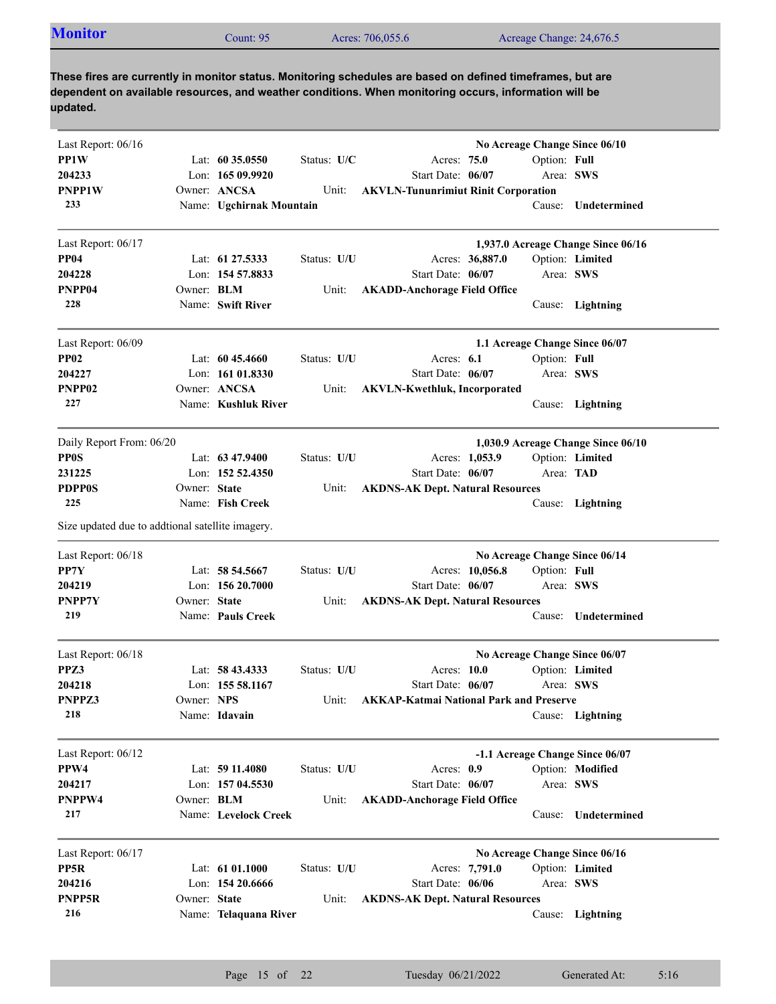| <b>Monitor</b> | Count: 95 | Acres: 706,055.6 | Acreage Change: 24,676.5 |
|----------------|-----------|------------------|--------------------------|
|                |           |                  |                          |

| Last Report: 06/16                               |              |                          |             |                                               |              | No Acreage Change Since 06/10      |
|--------------------------------------------------|--------------|--------------------------|-------------|-----------------------------------------------|--------------|------------------------------------|
| PP1W                                             |              | Lat: $60\,35.0550$       | Status: U/C | Acres: 75.0                                   | Option: Full |                                    |
| 204233                                           |              | Lon: 165 09.9920         |             | Start Date: 06/07                             | Area: SWS    |                                    |
| PNPP1W                                           |              | Owner: ANCSA             | Unit:       | <b>AKVLN-Tununrimiut Rinit Corporation</b>    |              |                                    |
| 233                                              |              | Name: Ugchirnak Mountain |             |                                               | Cause:       | Undetermined                       |
| Last Report: 06/17                               |              |                          |             |                                               |              | 1,937.0 Acreage Change Since 06/16 |
| <b>PP04</b>                                      |              | Lat: 61 27.5333          | Status: U/U | Acres: 36,887.0                               |              | Option: Limited                    |
| 204228                                           |              | Lon: 154 57.8833         |             | Start Date: 06/07                             | Area: SWS    |                                    |
| PNPP04                                           | Owner: BLM   |                          | Unit:       | <b>AKADD-Anchorage Field Office</b>           |              |                                    |
| 228                                              |              | Name: Swift River        |             |                                               |              | Cause: Lightning                   |
| Last Report: 06/09                               |              |                          |             |                                               |              | 1.1 Acreage Change Since 06/07     |
| <b>PP02</b>                                      |              | Lat: $6045.4660$         | Status: U/U | Acres: 6.1                                    | Option: Full |                                    |
| 204227                                           |              | Lon: $16101.8330$        |             | Start Date: 06/07                             | Area: SWS    |                                    |
| PNPP <sub>02</sub>                               |              | Owner: ANCSA             | Unit:       | <b>AKVLN-Kwethluk, Incorporated</b>           |              |                                    |
| 227                                              |              | Name: Kushluk River      |             |                                               |              | Cause: Lightning                   |
| Daily Report From: 06/20                         |              |                          |             |                                               |              | 1,030.9 Acreage Change Since 06/10 |
| <b>PP0S</b>                                      |              | Lat: $63\,47.9400$       | Status: U/U | Acres: 1,053.9                                |              | Option: Limited                    |
| 231225                                           |              | Lon: 152 52.4350         |             | Start Date: 06/07                             | Area: TAD    |                                    |
| <b>PDPP0S</b>                                    | Owner: State |                          | Unit:       | <b>AKDNS-AK Dept. Natural Resources</b>       |              |                                    |
| 225                                              |              | Name: Fish Creek         |             |                                               |              | Cause: Lightning                   |
| Size updated due to addtional satellite imagery. |              |                          |             |                                               |              |                                    |
| Last Report: 06/18                               |              |                          |             |                                               |              | No Acreage Change Since 06/14      |
| PP7Y                                             |              | Lat: 58 54.5667          | Status: U/U | Acres: 10,056.8                               | Option: Full |                                    |
| 204219                                           |              | Lon: 156 20.7000         |             | Start Date: 06/07                             | Area: SWS    |                                    |
| PNPP7Y                                           | Owner: State |                          | Unit:       | <b>AKDNS-AK Dept. Natural Resources</b>       |              |                                    |
| 219                                              |              | Name: Pauls Creek        |             |                                               | Cause:       | Undetermined                       |
| Last Report: 06/18                               |              |                          |             |                                               |              | No Acreage Change Since 06/07      |
| PPZ3                                             |              | Lat: 58 43.4333          | Status: U/U | Acres: 10.0                                   |              | Option: Limited                    |
| 204218                                           |              | Lon: $15558.1167$        |             | Start Date: 06/07                             | Area: SWS    |                                    |
| PNPPZ3                                           | Owner: NPS   |                          |             | Unit: AKKAP-Katmai National Park and Preserve |              |                                    |
| 218                                              |              | Name: Idavain            |             |                                               |              | Cause: Lightning                   |
| Last Report: 06/12                               |              |                          |             |                                               |              | -1.1 Acreage Change Since 06/07    |
| PPW4                                             |              | Lat: 59 11.4080          | Status: U/U | Acres: 0.9                                    |              | Option: Modified                   |
| 204217                                           |              | Lon: 157 04.5530         |             | Start Date: 06/07                             | Area: SWS    |                                    |
| PNPPW4                                           | Owner: BLM   |                          | Unit:       | <b>AKADD-Anchorage Field Office</b>           |              |                                    |
| 217                                              |              | Name: Levelock Creek     |             |                                               | Cause:       | Undetermined                       |
| Last Report: 06/17                               |              |                          |             |                                               |              | No Acreage Change Since 06/16      |
| PP5R                                             |              | Lat: 61 01.1000          | Status: U/U | Acres: 7,791.0                                |              | Option: Limited                    |
| 204216                                           |              | Lon: 154 20.6666         |             | Start Date: 06/06                             | Area: SWS    |                                    |
| PNPP5R                                           | Owner: State |                          | Unit:       | <b>AKDNS-AK Dept. Natural Resources</b>       |              |                                    |
| 216                                              |              | Name: Telaquana River    |             |                                               |              | Cause: Lightning                   |
|                                                  |              |                          |             |                                               |              |                                    |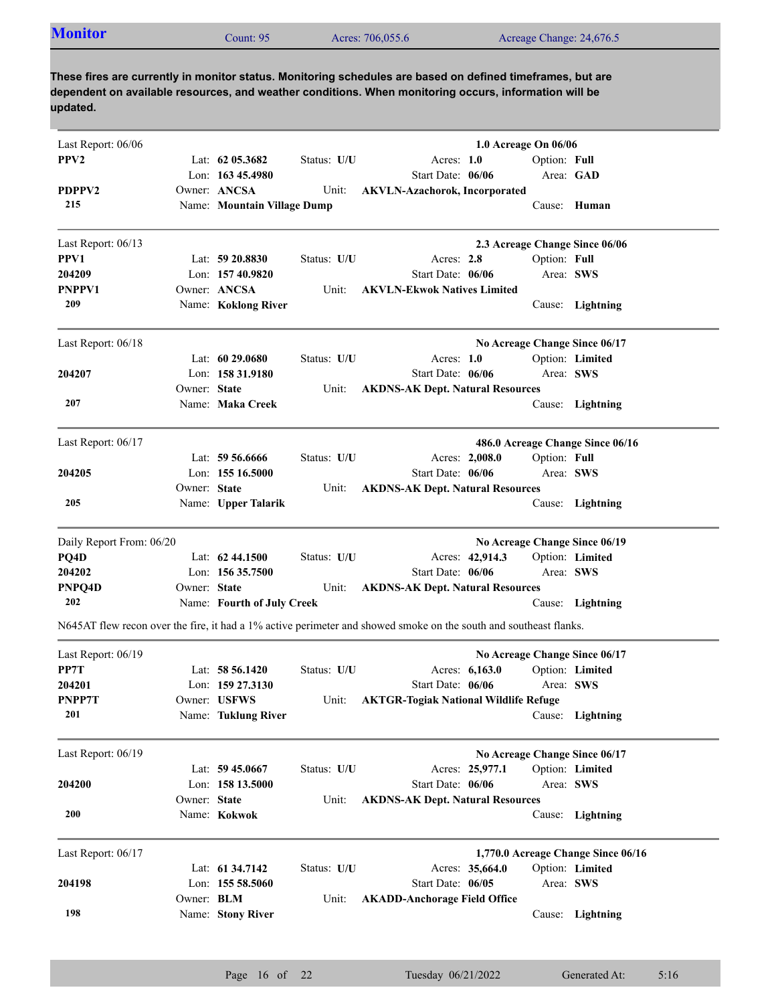| <b>Monitor</b> | Count: 95 | Acres: 706,055.6 | Acreage Change: 24,676.5 |
|----------------|-----------|------------------|--------------------------|
|                |           |                  |                          |

| PPV <sub>2</sub><br>Lat: $62$ 05.3682<br>Status: U/U<br>Acres: $1.0$<br>Option: Full<br>Lon: $16345.4980$<br>Start Date: 06/06<br>Area: GAD<br>PDPPV2<br>Owner: ANCSA<br><b>AKVLN-Azachorok, Incorporated</b><br>Unit:<br>215<br>Name: Mountain Village Dump<br>Cause: Human |  |
|------------------------------------------------------------------------------------------------------------------------------------------------------------------------------------------------------------------------------------------------------------------------------|--|
|                                                                                                                                                                                                                                                                              |  |
|                                                                                                                                                                                                                                                                              |  |
|                                                                                                                                                                                                                                                                              |  |
|                                                                                                                                                                                                                                                                              |  |
| Last Report: 06/13<br>2.3 Acreage Change Since 06/06                                                                                                                                                                                                                         |  |
| PPV1<br>Lat: $59\,20.8830$<br>Status: U/U<br>Acres: 2.8<br>Option: Full                                                                                                                                                                                                      |  |
| Lon: 157 40.9820<br>Start Date: 06/06<br>Area: SWS<br>204209                                                                                                                                                                                                                 |  |
| Owner: ANCSA<br>PNPPV1<br><b>AKVLN-Ekwok Natives Limited</b><br>Unit:                                                                                                                                                                                                        |  |
| 209<br>Name: Koklong River<br>Cause: Lightning                                                                                                                                                                                                                               |  |
| Last Report: 06/18<br>No Acreage Change Since 06/17                                                                                                                                                                                                                          |  |
| Option: Limited<br>Lat: $6029.0680$<br>Status: U/U<br>Acres: 1.0                                                                                                                                                                                                             |  |
| Lon: 158 31.9180<br>Start Date: 06/06<br>Area: SWS<br>204207                                                                                                                                                                                                                 |  |
| Owner: State<br><b>AKDNS-AK Dept. Natural Resources</b><br>Unit:                                                                                                                                                                                                             |  |
| 207<br>Name: Maka Creek<br>Cause: Lightning                                                                                                                                                                                                                                  |  |
| Last Report: 06/17<br>486.0 Acreage Change Since 06/16                                                                                                                                                                                                                       |  |
| Acres: 2,008.0<br>Option: Full<br>Lat: $59\,56.6666$<br>Status: U/U                                                                                                                                                                                                          |  |
| Lon: $15516.5000$<br>Start Date: 06/06<br>Area: SWS<br>204205                                                                                                                                                                                                                |  |
| Owner: State<br><b>AKDNS-AK Dept. Natural Resources</b><br>Unit:                                                                                                                                                                                                             |  |
| 205<br>Name: Upper Talarik<br>Cause: Lightning                                                                                                                                                                                                                               |  |
| No Acreage Change Since 06/19<br>Daily Report From: 06/20                                                                                                                                                                                                                    |  |
| PQ4D<br>Lat: 62 44.1500<br>Status: U/U<br>Acres: 42,914.3<br>Option: Limited                                                                                                                                                                                                 |  |
| 204202<br>Lon: 156 35.7500<br>Start Date: 06/06<br>Area: SWS                                                                                                                                                                                                                 |  |
| PNPQ4D<br>Owner: State<br>Unit:<br><b>AKDNS-AK Dept. Natural Resources</b>                                                                                                                                                                                                   |  |
| 202<br>Name: Fourth of July Creek<br>Cause: Lightning                                                                                                                                                                                                                        |  |
| N645AT flew recon over the fire, it had a 1% active perimeter and showed smoke on the south and southeast flanks.                                                                                                                                                            |  |
| Last Report: 06/19<br>No Acreage Change Since 06/17                                                                                                                                                                                                                          |  |
| PP7T<br>Lat: $58\,56.1420$<br>Status: U/U<br>Acres: 6,163.0<br>Option: Limited                                                                                                                                                                                               |  |
| 204201<br>Lon: 159 27.3130<br>Start Date: 06/06<br>Area: SWS                                                                                                                                                                                                                 |  |
| PNPP7T<br>Owner: USFWS<br>Unit: AKTGR-Togiak National Wildlife Refuge                                                                                                                                                                                                        |  |
| 201<br>Name: Tuklung River<br>Cause: Lightning                                                                                                                                                                                                                               |  |
| Last Report: 06/19<br>No Acreage Change Since 06/17                                                                                                                                                                                                                          |  |
| Acres: 25,977.1<br>Lat: $59\,45.0667$<br>Status: U/U<br>Option: Limited                                                                                                                                                                                                      |  |
| Lon: 158 13.5000<br>Start Date: 06/06<br>Area: SWS<br>204200                                                                                                                                                                                                                 |  |
| Owner: State<br><b>AKDNS-AK Dept. Natural Resources</b><br>Unit:                                                                                                                                                                                                             |  |
| 200<br>Name: Kokwok<br>Cause: Lightning                                                                                                                                                                                                                                      |  |
| 1,770.0 Acreage Change Since 06/16<br>Last Report: 06/17                                                                                                                                                                                                                     |  |
| Option: Limited<br>Lat: 61 34.7142<br>Status: U/U<br>Acres: 35,664.0                                                                                                                                                                                                         |  |
| Lon: 155 58.5060<br>Start Date: 06/05<br>204198<br>Area: SWS                                                                                                                                                                                                                 |  |
| Owner: BLM<br>Unit:<br><b>AKADD-Anchorage Field Office</b>                                                                                                                                                                                                                   |  |
| 198<br>Name: Stony River<br>Cause: Lightning                                                                                                                                                                                                                                 |  |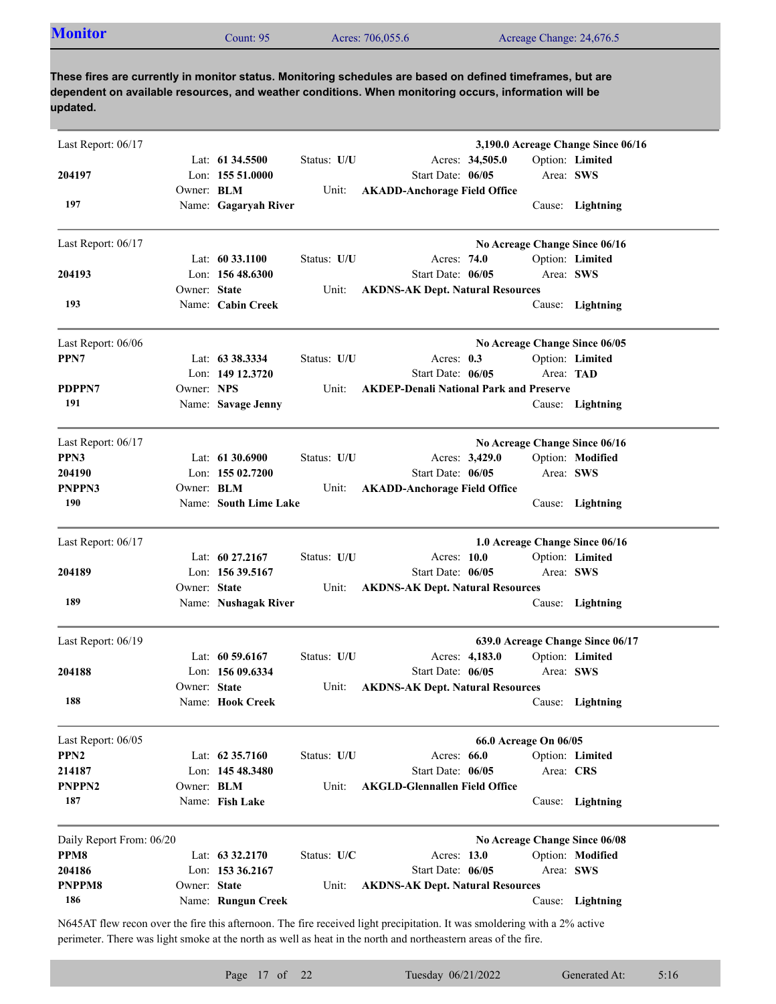| <b>Monitor</b><br>Acres: 706,055.6<br>Acreage Change: 24,676.5<br>$\mathcal$ count: 95 |  |
|----------------------------------------------------------------------------------------|--|
|----------------------------------------------------------------------------------------|--|

| Last Report: 06/17                     |                   |                       |             |                                                | 3,190.0 Acreage Change Since 06/16                  |
|----------------------------------------|-------------------|-----------------------|-------------|------------------------------------------------|-----------------------------------------------------|
|                                        |                   | Lat: $61\,34.5500$    | Status: U/U | Acres: 34,505.0                                | Option: Limited                                     |
| 204197                                 |                   | Lon: 155 51.0000      |             | Start Date: 06/05                              | Area: SWS                                           |
|                                        | Owner: BLM        |                       | Unit:       | <b>AKADD-Anchorage Field Office</b>            |                                                     |
| 197                                    |                   | Name: Gagaryah River  |             |                                                | Cause: Lightning                                    |
| Last Report: 06/17                     |                   |                       |             |                                                | No Acreage Change Since 06/16                       |
|                                        |                   | Lat: 60 33.1100       | Status: U/U | Acres: 74.0                                    | Option: Limited                                     |
| 204193                                 |                   | Lon: 156 48.6300      |             | Start Date: 06/05                              | Area: SWS                                           |
|                                        | Owner: State      |                       | Unit:       | <b>AKDNS-AK Dept. Natural Resources</b>        |                                                     |
| 193                                    |                   | Name: Cabin Creek     |             |                                                | Cause: Lightning                                    |
| Last Report: 06/06                     |                   |                       |             |                                                | No Acreage Change Since 06/05                       |
| PPN7                                   |                   | Lat: $63\,38.3334$    | Status: U/U | Acres: $0.3$                                   | Option: Limited                                     |
|                                        |                   | Lon: 149 12.3720      |             | Start Date: 06/05                              | Area: TAD                                           |
| PDPPN7                                 | Owner: NPS        |                       | Unit:       | <b>AKDEP-Denali National Park and Preserve</b> |                                                     |
| 191                                    |                   | Name: Savage Jenny    |             |                                                | Cause: Lightning                                    |
| Last Report: 06/17                     |                   |                       |             |                                                | No Acreage Change Since 06/16                       |
| PPN3                                   |                   | Lat: 61 30.6900       | Status: U/U | Acres: 3,429.0                                 | Option: Modified                                    |
| 204190                                 |                   | Lon: 155 02.7200      |             | Start Date: 06/05                              | Area: SWS                                           |
| PNPPN3                                 | Owner: <b>BLM</b> |                       | Unit:       | <b>AKADD-Anchorage Field Office</b>            |                                                     |
| 190                                    |                   | Name: South Lime Lake |             |                                                | Cause: Lightning                                    |
| Last Report: 06/17                     |                   |                       |             |                                                | 1.0 Acreage Change Since 06/16                      |
|                                        |                   | Lat: 60 27.2167       | Status: U/U | Acres: 10.0                                    | Option: Limited                                     |
| 204189                                 |                   | Lon: 156 39.5167      |             | Start Date: 06/05                              | Area: SWS                                           |
|                                        |                   |                       | Unit:       | <b>AKDNS-AK Dept. Natural Resources</b>        |                                                     |
|                                        | Owner: State      |                       |             |                                                |                                                     |
| 189                                    |                   | Name: Nushagak River  |             |                                                | Cause: Lightning                                    |
|                                        |                   |                       |             |                                                |                                                     |
| Last Report: 06/19                     |                   | Lat: $60\,59.6167$    | Status: U/U |                                                | 639.0 Acreage Change Since 06/17<br>Option: Limited |
| 204188                                 |                   | Lon: 156 09.6334      |             | Acres: 4,183.0<br>Start Date: 06/05            | Area: SWS                                           |
|                                        | Owner: State      |                       | Unit:       | <b>AKDNS-AK Dept. Natural Resources</b>        |                                                     |
| 188                                    |                   | Name: Hook Creek      |             |                                                | Cause: Lightning                                    |
|                                        |                   |                       |             |                                                |                                                     |
| Last Report: 06/05<br>PPN <sub>2</sub> |                   | Lat: 62 35.7160       | Status: U/U | 66.0 Acreage On 06/05<br>Acres: 66.0           |                                                     |
| 214187                                 |                   | Lon: 145 48.3480      |             | Start Date: 06/05                              | Option: Limited                                     |
| PNPPN <sub>2</sub>                     | Owner: BLM        |                       | Unit:       | <b>AKGLD-Glennallen Field Office</b>           | Area: CRS                                           |
| 187                                    |                   | Name: Fish Lake       |             |                                                | Cause: Lightning                                    |
|                                        |                   |                       |             |                                                |                                                     |
| Daily Report From: 06/20               |                   | Lat: $63\,32.2170$    | Status: U/C |                                                | No Acreage Change Since 06/08                       |
| PPM8<br>204186                         |                   | Lon: 153 36.2167      |             | Acres: 13.0<br>Start Date: 06/05               | Option: Modified<br>Area: SWS                       |
| PNPPM8                                 | Owner: State      |                       | Unit:       |                                                |                                                     |
| 186                                    |                   | Name: Rungun Creek    |             | <b>AKDNS-AK Dept. Natural Resources</b>        | Cause: Lightning                                    |

N645AT flew recon over the fire this afternoon. The fire received light precipitation. It was smoldering with a 2% active perimeter. There was light smoke at the north as well as heat in the north and northeastern areas of the fire.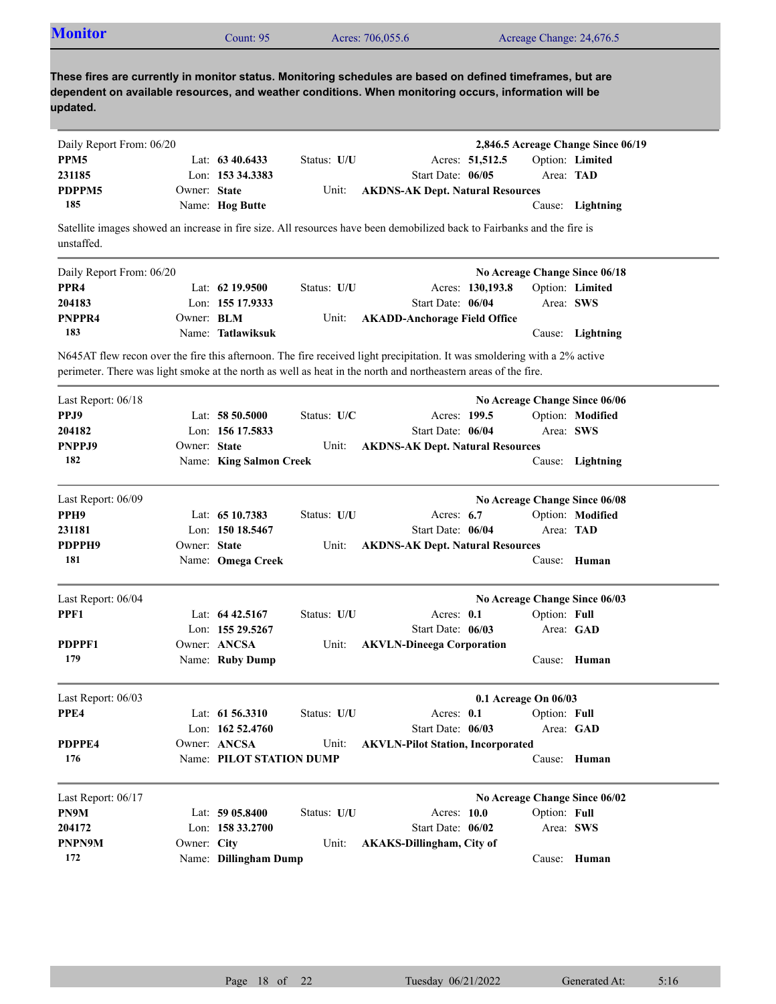| <b>Monitor</b>                                                                                                                                                                                                                              |                   | Count: 95                |             | Acres: 706,055.6                         |                   |                  | Acreage Change: 24,676.5 |                                    |
|---------------------------------------------------------------------------------------------------------------------------------------------------------------------------------------------------------------------------------------------|-------------------|--------------------------|-------------|------------------------------------------|-------------------|------------------|--------------------------|------------------------------------|
| These fires are currently in monitor status. Monitoring schedules are based on defined timeframes, but are<br>dependent on available resources, and weather conditions. When monitoring occurs, information will be<br>updated.             |                   |                          |             |                                          |                   |                  |                          |                                    |
| Daily Report From: 06/20                                                                                                                                                                                                                    |                   |                          |             |                                          |                   |                  |                          | 2,846.5 Acreage Change Since 06/19 |
| PPM <sub>5</sub>                                                                                                                                                                                                                            |                   | Lat: $6340.6433$         | Status: U/U |                                          |                   | Acres: 51,512.5  |                          | Option: Limited                    |
| 231185                                                                                                                                                                                                                                      |                   | Lon: 153 34.3383         |             |                                          | Start Date: 06/05 |                  |                          | Area: TAD                          |
| PDPPM5                                                                                                                                                                                                                                      | Owner: State      |                          | Unit:       | <b>AKDNS-AK Dept. Natural Resources</b>  |                   |                  |                          |                                    |
| 185                                                                                                                                                                                                                                         |                   | Name: Hog Butte          |             |                                          |                   |                  |                          | Cause: Lightning                   |
| Satellite images showed an increase in fire size. All resources have been demobilized back to Fairbanks and the fire is<br>unstaffed.                                                                                                       |                   |                          |             |                                          |                   |                  |                          |                                    |
| Daily Report From: 06/20                                                                                                                                                                                                                    |                   |                          |             |                                          |                   |                  |                          | No Acreage Change Since 06/18      |
| PPR <sub>4</sub>                                                                                                                                                                                                                            |                   | Lat: $62$ 19.9500        | Status: U/U |                                          |                   | Acres: 130,193.8 |                          | Option: Limited                    |
| 204183                                                                                                                                                                                                                                      |                   | Lon: 155 17.9333         |             |                                          | Start Date: 06/04 |                  |                          | Area: SWS                          |
| PNPPR4                                                                                                                                                                                                                                      | Owner: <b>BLM</b> |                          | Unit:       | <b>AKADD-Anchorage Field Office</b>      |                   |                  |                          |                                    |
| 183                                                                                                                                                                                                                                         |                   | Name: Tatlawiksuk        |             |                                          |                   |                  |                          | Cause: Lightning                   |
| N645AT flew recon over the fire this afternoon. The fire received light precipitation. It was smoldering with a 2% active<br>perimeter. There was light smoke at the north as well as heat in the north and northeastern areas of the fire. |                   |                          |             |                                          |                   |                  |                          |                                    |
| Last Report: 06/18                                                                                                                                                                                                                          |                   |                          |             |                                          |                   |                  |                          | No Acreage Change Since 06/06      |
| PPJ9                                                                                                                                                                                                                                        |                   | Lat: 58 50.5000          | Status: U/C |                                          |                   | Acres: 199.5     |                          | Option: Modified                   |
| 204182                                                                                                                                                                                                                                      |                   | Lon: 156 17.5833         |             |                                          | Start Date: 06/04 |                  |                          | Area: SWS                          |
| PNPPJ9                                                                                                                                                                                                                                      | Owner: State      |                          | Unit:       | <b>AKDNS-AK Dept. Natural Resources</b>  |                   |                  |                          |                                    |
| 182                                                                                                                                                                                                                                         |                   | Name: King Salmon Creek  |             |                                          |                   |                  |                          | Cause: Lightning                   |
| Last Report: 06/09                                                                                                                                                                                                                          |                   |                          |             |                                          |                   |                  |                          | No Acreage Change Since 06/08      |
| PPH <sub>9</sub>                                                                                                                                                                                                                            |                   | Lat: $6510.7383$         | Status: U/U |                                          | Acres: $6.7$      |                  |                          | Option: Modified                   |
| 231181                                                                                                                                                                                                                                      |                   | Lon: 150 18.5467         |             |                                          | Start Date: 06/04 |                  |                          | Area: TAD                          |
| PDPPH9                                                                                                                                                                                                                                      | Owner: State      |                          | Unit:       | <b>AKDNS-AK Dept. Natural Resources</b>  |                   |                  |                          |                                    |
| 181                                                                                                                                                                                                                                         |                   | Name: Omega Creek        |             |                                          |                   |                  |                          | Cause: Human                       |
|                                                                                                                                                                                                                                             |                   |                          |             |                                          |                   |                  |                          |                                    |
| Last Report: 06/04                                                                                                                                                                                                                          |                   |                          |             |                                          |                   |                  |                          | No Acreage Change Since 06/03      |
| PPF1                                                                                                                                                                                                                                        |                   | Lat: $64\,42.5167$       | Status: U/U |                                          | Acres: 0.1        |                  | Option: Full             |                                    |
|                                                                                                                                                                                                                                             |                   | Lon: 155 29.5267         |             |                                          | Start Date: 06/03 |                  |                          | Area: GAD                          |
| PDPPF1                                                                                                                                                                                                                                      |                   | Owner: ANCSA             | Unit:       | <b>AKVLN-Dineega Corporation</b>         |                   |                  |                          |                                    |
| 179                                                                                                                                                                                                                                         |                   | Name: Ruby Dump          |             |                                          |                   |                  |                          | Cause: Human                       |
| Last Report: 06/03                                                                                                                                                                                                                          |                   |                          |             |                                          |                   |                  | 0.1 Acreage On 06/03     |                                    |
| PPE4                                                                                                                                                                                                                                        |                   | Lat: $61\,56.3310$       | Status: U/U |                                          | Acres: 0.1        |                  | Option: Full             |                                    |
|                                                                                                                                                                                                                                             |                   | Lon: $16252.4760$        |             |                                          | Start Date: 06/03 |                  |                          | Area: GAD                          |
| PDPPE4                                                                                                                                                                                                                                      |                   | Owner: ANCSA             |             |                                          |                   |                  |                          |                                    |
| 176                                                                                                                                                                                                                                         |                   | Name: PILOT STATION DUMP | Unit:       | <b>AKVLN-Pilot Station, Incorporated</b> |                   |                  |                          | Cause: Human                       |
|                                                                                                                                                                                                                                             |                   |                          |             |                                          |                   |                  |                          |                                    |
| Last Report: 06/17                                                                                                                                                                                                                          |                   |                          |             |                                          |                   |                  |                          | No Acreage Change Since 06/02      |
| PN9M                                                                                                                                                                                                                                        |                   | Lat: 59 05.8400          | Status: U/U |                                          | Acres: 10.0       |                  | Option: Full             |                                    |
| 204172                                                                                                                                                                                                                                      |                   | Lon: 158 33.2700         |             |                                          | Start Date: 06/02 |                  |                          | Area: SWS                          |
| PNPN9M                                                                                                                                                                                                                                      | Owner: City       |                          | Unit:       | <b>AKAKS-Dillingham, City of</b>         |                   |                  |                          |                                    |
| 172                                                                                                                                                                                                                                         |                   | Name: Dillingham Dump    |             |                                          |                   |                  |                          | Cause: Human                       |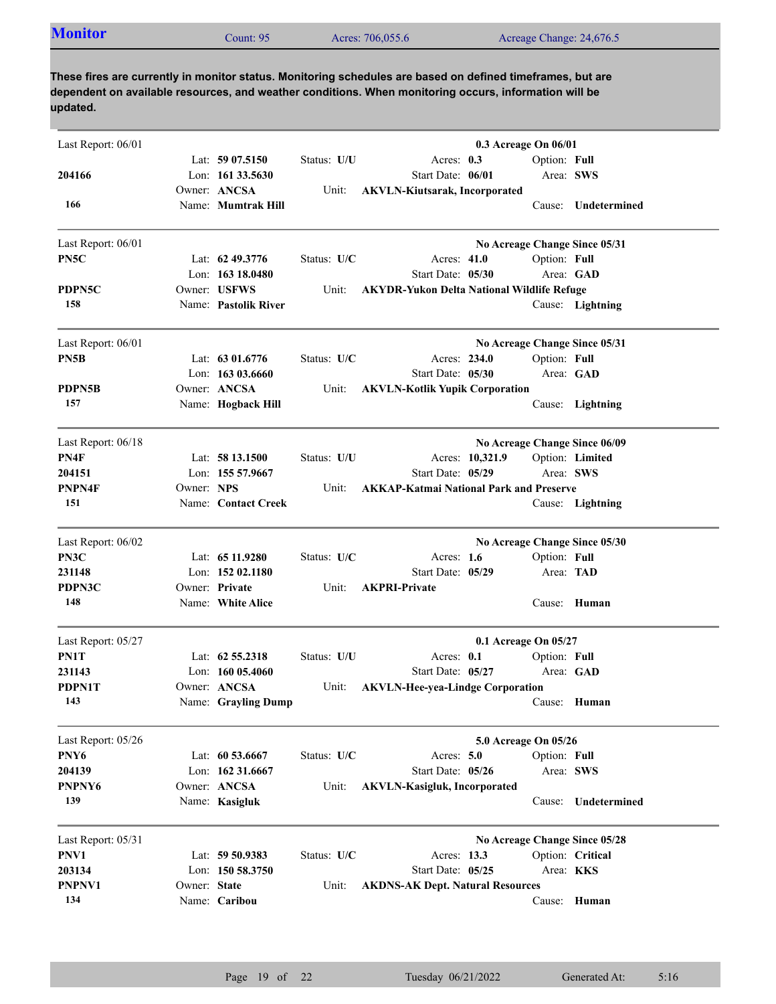| Last Report: 06/01 |              |                      |             | 0.3 Acreage On 06/01                              |                  |                               |
|--------------------|--------------|----------------------|-------------|---------------------------------------------------|------------------|-------------------------------|
|                    |              | Lat: $5907.5150$     | Status: U/U | Acres: 0.3                                        | Option: Full     |                               |
| 204166             |              | Lon: $16133.5630$    |             | Start Date: 06/01                                 | Area: SWS        |                               |
|                    |              | Owner: ANCSA         | Unit:       | <b>AKVLN-Kiutsarak, Incorporated</b>              |                  |                               |
| 166                |              | Name: Mumtrak Hill   |             |                                                   |                  | Cause: Undetermined           |
| Last Report: 06/01 |              |                      |             |                                                   |                  | No Acreage Change Since 05/31 |
| PN5C               |              | Lat: $62\,49.3776$   | Status: U/C | Acres: 41.0                                       | Option: Full     |                               |
|                    |              | Lon: 163 18.0480     |             | Start Date: 05/30                                 | Area: GAD        |                               |
| PDPN5C             |              | Owner: USFWS         | Unit:       | <b>AKYDR-Yukon Delta National Wildlife Refuge</b> |                  |                               |
| 158                |              | Name: Pastolik River |             |                                                   |                  | Cause: Lightning              |
| Last Report: 06/01 |              |                      |             |                                                   |                  | No Acreage Change Since 05/31 |
| PN5B               |              | Lat: $6301.6776$     | Status: U/C | Acres: 234.0                                      | Option: Full     |                               |
|                    |              | Lon: 163 03.6660     |             | Start Date: 05/30                                 |                  | Area: GAD                     |
| PDPN5B             |              | Owner: ANCSA         | Unit:       | <b>AKVLN-Kotlik Yupik Corporation</b>             |                  |                               |
| 157                |              | Name: Hogback Hill   |             |                                                   |                  | Cause: Lightning              |
| Last Report: 06/18 |              |                      |             |                                                   |                  | No Acreage Change Since 06/09 |
| PN4F               |              | Lat: $5813.1500$     | Status: U/U | Acres: 10,321.9                                   |                  | Option: Limited               |
| 204151             |              | Lon: 155 57.9667     |             | Start Date: 05/29                                 | Area: SWS        |                               |
| PNPN4F             | Owner: NPS   |                      | Unit:       | <b>AKKAP-Katmai National Park and Preserve</b>    |                  |                               |
| 151                |              | Name: Contact Creek  |             |                                                   |                  | Cause: Lightning              |
| Last Report: 06/02 |              |                      |             |                                                   |                  | No Acreage Change Since 05/30 |
| PN3C               |              | Lat: 65 11.9280      | Status: U/C | Acres: $1.6$                                      | Option: Full     |                               |
| 231148             |              | Lon: 152 02.1180     |             | Start Date: 05/29                                 | Area: TAD        |                               |
| PDPN3C             |              | Owner: Private       | Unit:       | <b>AKPRI-Private</b>                              |                  |                               |
| 148                |              | Name: White Alice    |             |                                                   |                  | Cause: Human                  |
| Last Report: 05/27 |              |                      |             | 0.1 Acreage On 05/27                              |                  |                               |
| PN1T               |              | Lat: $62\,55.2318$   | Status: U/U | Acres: $0.1$                                      | Option: Full     |                               |
| 231143             |              | Lon: $16005.4060$    |             | Start Date: 05/27                                 | Area: GAD        |                               |
| PDPN1T             |              | Owner: ANCSA         | Unit:       | <b>AKVLN-Hee-yea-Lindge Corporation</b>           |                  |                               |
| 143                |              | Name: Grayling Dump  |             |                                                   |                  | Cause: Human                  |
| Last Report: 05/26 |              |                      |             | 5.0 Acreage On 05/26                              |                  |                               |
| PNY6               |              | Lat: 60 53.6667      | Status: U/C | Acres: 5.0                                        | Option: Full     |                               |
| 204139             |              | Lon: 162 31.6667     |             | Start Date: 05/26                                 | Area: SWS        |                               |
| PNPNY6             |              | Owner: ANCSA         | Unit:       | <b>AKVLN-Kasigluk, Incorporated</b>               |                  |                               |
| 139                |              | Name: Kasigluk       |             |                                                   | Cause:           | Undetermined                  |
| Last Report: 05/31 |              |                      |             |                                                   |                  | No Acreage Change Since 05/28 |
| PNV1               |              | Lat: 59 50.9383      | Status: U/C | Acres: 13.3                                       |                  | Option: Critical              |
| 203134             |              | Lon: $15058.3750$    |             | Start Date: 05/25                                 | Area: <b>KKS</b> |                               |
| PNPNV1             | Owner: State |                      | Unit:       | <b>AKDNS-AK Dept. Natural Resources</b>           |                  |                               |
| 134                |              | Name: Caribou        |             |                                                   |                  | Cause: Human                  |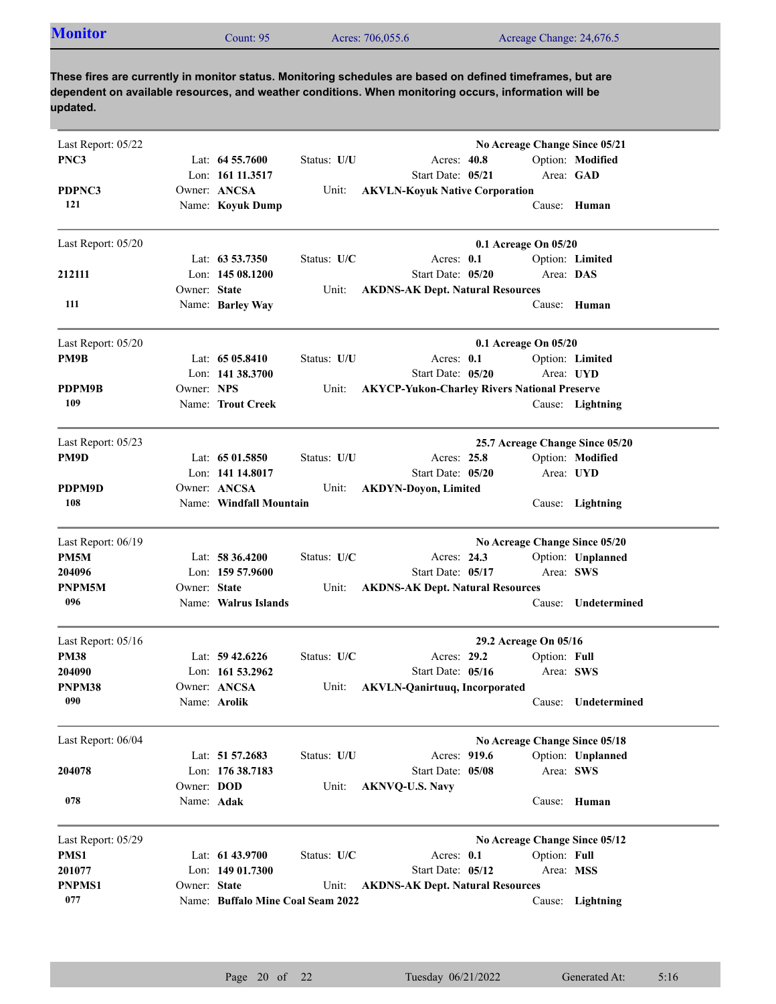| <b>Monitor</b><br>Acres: 706,055.6<br>Acreage Change: 24,676.5<br>Count: 95 |  |
|-----------------------------------------------------------------------------|--|
|-----------------------------------------------------------------------------|--|

| Last Report: 05/22 |              |                                   |             |                                                     | No Acreage Change Since 05/21   |                     |
|--------------------|--------------|-----------------------------------|-------------|-----------------------------------------------------|---------------------------------|---------------------|
| PNC3               |              | Lat: $64\,55.7600$                | Status: U/U | Acres: 40.8                                         |                                 | Option: Modified    |
|                    |              | Lon: 161 11.3517                  |             | Start Date: 05/21                                   | Area: GAD                       |                     |
| PDPNC3             |              | Owner: ANCSA                      | Unit:       | <b>AKVLN-Koyuk Native Corporation</b>               |                                 |                     |
| 121                |              | Name: Koyuk Dump                  |             |                                                     |                                 | Cause: Human        |
|                    |              |                                   |             |                                                     |                                 |                     |
| Last Report: 05/20 |              |                                   |             |                                                     | 0.1 Acreage On 05/20            |                     |
|                    |              | Lat: $63\,53.7350$                | Status: U/C | Acres: $0.1$                                        |                                 | Option: Limited     |
| 212111             |              | Lon: $14508.1200$                 |             | Start Date: 05/20                                   | Area: DAS                       |                     |
|                    | Owner: State |                                   | Unit:       | <b>AKDNS-AK Dept. Natural Resources</b>             |                                 |                     |
| 111                |              | Name: Barley Way                  |             |                                                     | Cause:                          | Human               |
|                    |              |                                   |             |                                                     |                                 |                     |
| Last Report: 05/20 |              |                                   |             |                                                     | 0.1 Acreage On 05/20            |                     |
| PM9B               |              | Lat: $6505.8410$                  | Status: U/U | Acres: 0.1                                          |                                 | Option: Limited     |
|                    |              | Lon: $141\,38.3700$               |             | Start Date: 05/20                                   |                                 | Area: UYD           |
| PDPM9B             | Owner: NPS   |                                   | Unit:       | <b>AKYCP-Yukon-Charley Rivers National Preserve</b> |                                 |                     |
| 109                |              | Name: Trout Creek                 |             |                                                     |                                 | Cause: Lightning    |
| Last Report: 05/23 |              |                                   |             |                                                     | 25.7 Acreage Change Since 05/20 |                     |
| PM9D               |              | Lat: $6501.5850$                  | Status: U/U | Acres: 25.8                                         |                                 | Option: Modified    |
|                    |              | Lon: 141 14.8017                  |             | Start Date: 05/20                                   |                                 | Area: UYD           |
| PDPM9D             |              | Owner: ANCSA                      | Unit:       | <b>AKDYN-Doyon, Limited</b>                         |                                 |                     |
| 108                |              | Name: Windfall Mountain           |             |                                                     |                                 | Cause: Lightning    |
| Last Report: 06/19 |              |                                   |             |                                                     | No Acreage Change Since 05/20   |                     |
| PM5M               |              | Lat: 58 36.4200                   | Status: U/C | Acres: 24.3                                         |                                 | Option: Unplanned   |
| 204096             |              | Lon: 159 57.9600                  |             | Start Date: 05/17                                   | Area: SWS                       |                     |
| PNPM5M             | Owner: State |                                   | Unit:       | <b>AKDNS-AK Dept. Natural Resources</b>             |                                 |                     |
| 096                |              | Name: Walrus Islands              |             |                                                     | Cause:                          | Undetermined        |
| Last Report: 05/16 |              |                                   |             |                                                     | 29.2 Acreage On 05/16           |                     |
| <b>PM38</b>        |              | Lat: $59\,42.6226$                | Status: U/C | Acres: 29.2                                         | Option: Full                    |                     |
| 204090             |              | Lon: $161\,53.2962$               |             | Start Date: 05/16                                   | Area: SWS                       |                     |
| PNPM38             |              | Owner: ANCSA                      | Unit:       | <b>AKVLN-Qanirtuuq, Incorporated</b>                |                                 |                     |
| 090                |              | Name: <b>Arolik</b>               |             |                                                     |                                 | Cause: Undetermined |
|                    |              |                                   |             |                                                     |                                 |                     |
| Last Report: 06/04 |              | Lat: 51 57.2683                   | Status: U/U | Acres: 919.6                                        | No Acreage Change Since 05/18   | Option: Unplanned   |
| 204078             |              | Lon: 176 38.7183                  |             | Start Date: 05/08                                   | Area: SWS                       |                     |
|                    | Owner: DOD   |                                   | Unit:       |                                                     |                                 |                     |
| 078                | Name: Adak   |                                   |             | <b>AKNVQ-U.S. Navy</b>                              |                                 | Cause: Human        |
|                    |              |                                   |             |                                                     |                                 |                     |
| Last Report: 05/29 |              |                                   |             |                                                     | No Acreage Change Since 05/12   |                     |
| PMS1               |              | Lat: 61 43.9700                   | Status: U/C | Acres: 0.1                                          | Option: Full                    |                     |
| 201077             |              | Lon: 149 01.7300                  |             | Start Date: 05/12                                   | Area: MSS                       |                     |
| <b>PNPMS1</b>      | Owner: State |                                   | Unit:       | <b>AKDNS-AK Dept. Natural Resources</b>             |                                 |                     |
| 077                |              | Name: Buffalo Mine Coal Seam 2022 |             |                                                     |                                 | Cause: Lightning    |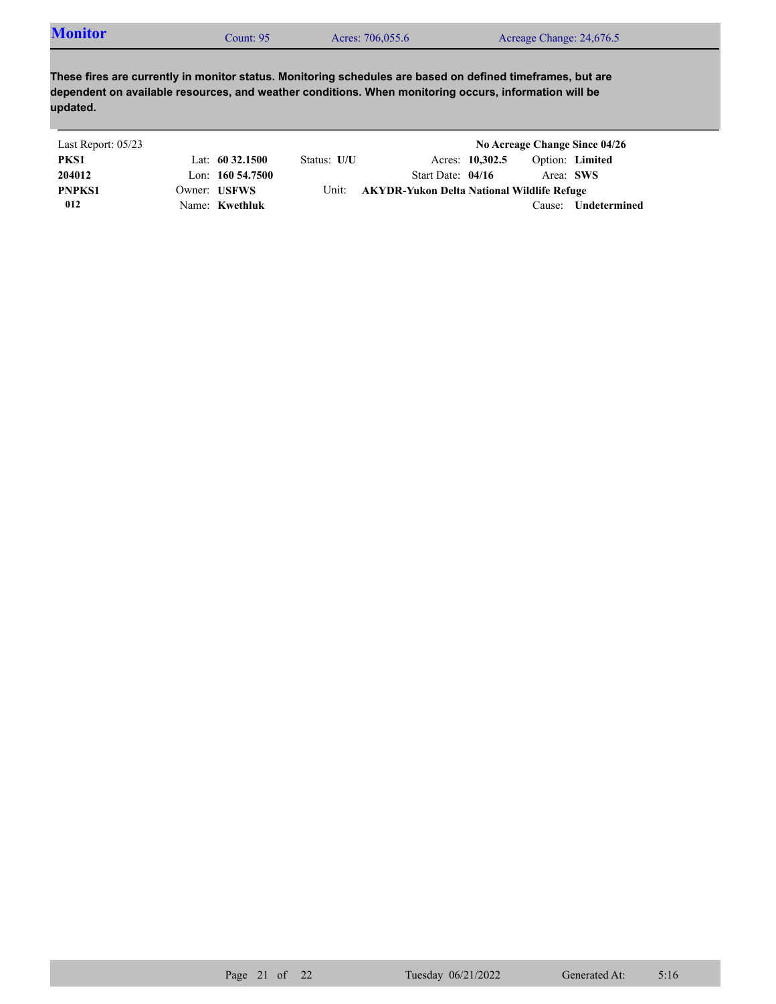| <b>Monitor</b> | Count: 95 | Acres: 706,055.6 | Acreage Change: 24,676.5 |
|----------------|-----------|------------------|--------------------------|
|                |           |                  |                          |

| Last Report: 05/23 |                     |             |                                            |                 |           | No Acreage Change Since 04/26 |
|--------------------|---------------------|-------------|--------------------------------------------|-----------------|-----------|-------------------------------|
| PKS1               | Lat: $60\,32.1500$  | Status: U/U |                                            | Acres: 10,302.5 |           | Option: Limited               |
| 204012             | Lon: $160\,54.7500$ |             | Start Date: $04/16$                        |                 | Area: SWS |                               |
| <b>PNPKS1</b>      | Owner: USFWS        | Unit:       | AKYDR-Yukon Delta National Wildlife Refuge |                 |           |                               |
| 012                | Name: Kwethluk      |             |                                            |                 | Cause:    | <b>Undetermined</b>           |